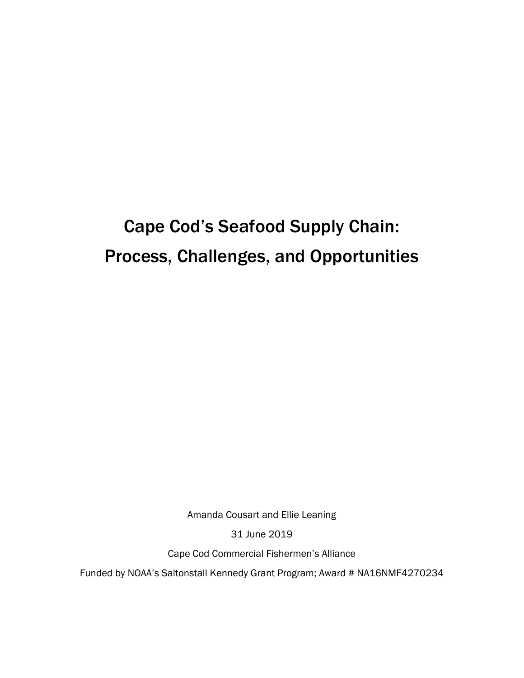# Cape Cod's Seafood Supply Chain: Process, Challenges, and Opportunities

Amanda Cousart and Ellie Leaning

31 June 2019

Cape Cod Commercial Fishermen's Alliance

Funded by NOAA's Saltonstall Kennedy Grant Program; Award # NA16NMF4270234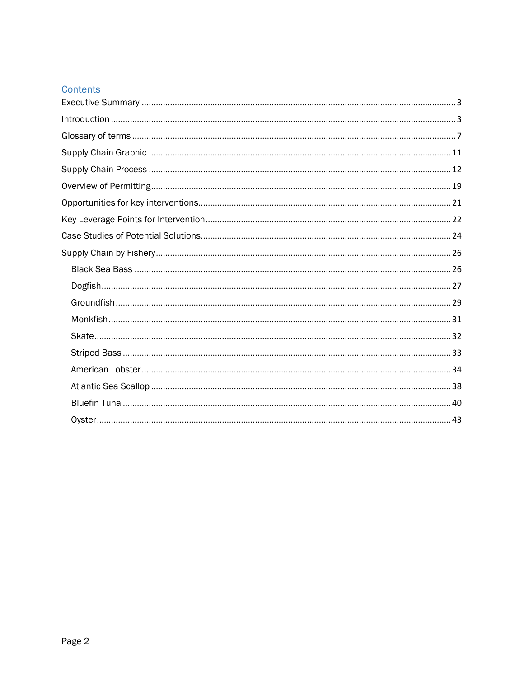## Contents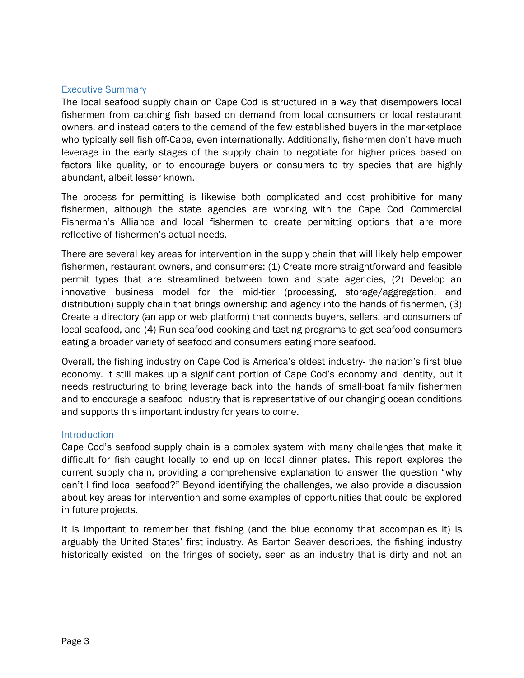#### Executive Summary

The local seafood supply chain on Cape Cod is structured in a way that disempowers local fishermen from catching fish based on demand from local consumers or local restaurant owners, and instead caters to the demand of the few established buyers in the marketplace who typically sell fish off-Cape, even internationally. Additionally, fishermen don't have much leverage in the early stages of the supply chain to negotiate for higher prices based on factors like quality, or to encourage buyers or consumers to try species that are highly abundant, albeit lesser known.

The process for permitting is likewise both complicated and cost prohibitive for many fishermen, although the state agencies are working with the Cape Cod Commercial Fisherman's Alliance and local fishermen to create permitting options that are more reflective of fishermen's actual needs.

There are several key areas for intervention in the supply chain that will likely help empower fishermen, restaurant owners, and consumers: (1) Create more straightforward and feasible permit types that are streamlined between town and state agencies, (2) Develop an innovative business model for the mid-tier (processing, storage/aggregation, and distribution) supply chain that brings ownership and agency into the hands of fishermen, (3) Create a directory (an app or web platform) that connects buyers, sellers, and consumers of local seafood, and (4) Run seafood cooking and tasting programs to get seafood consumers eating a broader variety of seafood and consumers eating more seafood.

Overall, the fishing industry on Cape Cod is America's oldest industry- the nation's first blue economy. It still makes up a significant portion of Cape Cod's economy and identity, but it needs restructuring to bring leverage back into the hands of small-boat family fishermen and to encourage a seafood industry that is representative of our changing ocean conditions and supports this important industry for years to come.

#### **Introduction**

Cape Cod's seafood supply chain is a complex system with many challenges that make it difficult for fish caught locally to end up on local dinner plates. This report explores the current supply chain, providing a comprehensive explanation to answer the question "why can't I find local seafood?" Beyond identifying the challenges, we also provide a discussion about key areas for intervention and some examples of opportunities that could be explored in future projects.

It is important to remember that fishing (and the blue economy that accompanies it) is arguably the United States' first industry. As Barton Seaver describes, the fishing industry historically existed on the fringes of society, seen as an industry that is dirty and not an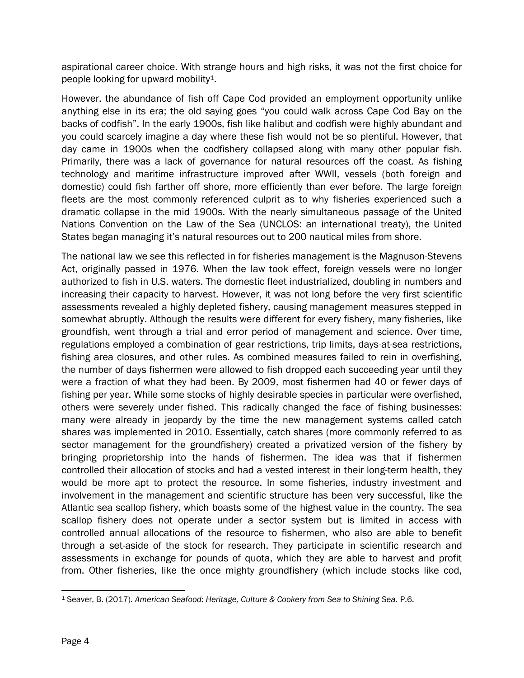aspirational career choice. With strange hours and high risks, it was not the first choice for people looking for upward mobility1.

However, the abundance of fish off Cape Cod provided an employment opportunity unlike anything else in its era; the old saying goes "you could walk across Cape Cod Bay on the backs of codfish". In the early 1900s, fish like halibut and codfish were highly abundant and you could scarcely imagine a day where these fish would not be so plentiful. However, that day came in 1900s when the codfishery collapsed along with many other popular fish. Primarily, there was a lack of governance for natural resources off the coast. As fishing technology and maritime infrastructure improved after WWII, vessels (both foreign and domestic) could fish farther off shore, more efficiently than ever before. The large foreign fleets are the most commonly referenced culprit as to why fisheries experienced such a dramatic collapse in the mid 1900s. With the nearly simultaneous passage of the United Nations Convention on the Law of the Sea (UNCLOS: an international treaty), the United States began managing it's natural resources out to 200 nautical miles from shore.

The national law we see this reflected in for fisheries management is the Magnuson-Stevens Act, originally passed in 1976. When the law took effect, foreign vessels were no longer authorized to fish in U.S. waters. The domestic fleet industrialized, doubling in numbers and increasing their capacity to harvest. However, it was not long before the very first scientific assessments revealed a highly depleted fishery, causing management measures stepped in somewhat abruptly. Although the results were different for every fishery, many fisheries, like groundfish, went through a trial and error period of management and science. Over time, regulations employed a combination of gear restrictions, trip limits, days-at-sea restrictions, fishing area closures, and other rules. As combined measures failed to rein in overfishing, the number of days fishermen were allowed to fish dropped each succeeding year until they were a fraction of what they had been. By 2009, most fishermen had 40 or fewer days of fishing per year. While some stocks of highly desirable species in particular were overfished, others were severely under fished. This radically changed the face of fishing businesses: many were already in jeopardy by the time the new management systems called catch shares was implemented in 2010. Essentially, catch shares (more commonly referred to as sector management for the groundfishery) created a privatized version of the fishery by bringing proprietorship into the hands of fishermen. The idea was that if fishermen controlled their allocation of stocks and had a vested interest in their long-term health, they would be more apt to protect the resource. In some fisheries, industry investment and involvement in the management and scientific structure has been very successful, like the Atlantic sea scallop fishery, which boasts some of the highest value in the country. The sea scallop fishery does not operate under a sector system but is limited in access with controlled annual allocations of the resource to fishermen, who also are able to benefit through a set-aside of the stock for research. They participate in scientific research and assessments in exchange for pounds of quota, which they are able to harvest and profit from. Other fisheries, like the once mighty groundfishery (which include stocks like cod,

 $\overline{\phantom{a}}$ <sup>1</sup> Seaver, B. (2017). *American Seafood: Heritage, Culture & Cookery from Sea to Shining Sea.* P.6.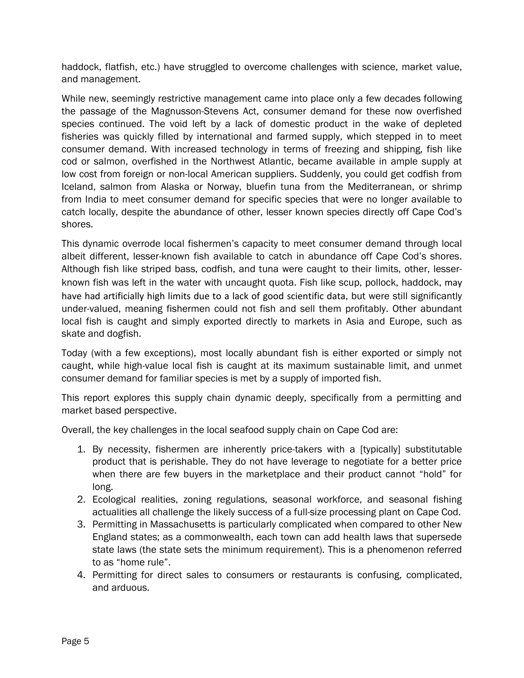haddock, flatfish, etc.) have struggled to overcome challenges with science, market value, and management.

While new, seemingly restrictive management came into place only a few decades following the passage of the Magnusson-Stevens Act, consumer demand for these now overfished species continued. The void left by a lack of domestic product in the wake of depleted fisheries was quickly filled by international and farmed supply, which stepped in to meet consumer demand. With increased technology in terms of freezing and shipping, fish like cod or salmon, overfished in the Northwest Atlantic, became available in ample supply at low cost from foreign or non-local American suppliers. Suddenly, you could get codfish from Iceland, salmon from Alaska or Norway, bluefin tuna from the Mediterranean, or shrimp from India to meet consumer demand for specific species that were no longer available to catch locally, despite the abundance of other, lesser known species directly off Cape Cod's shores.

This dynamic overrode local fishermen's capacity to meet consumer demand through local albeit different, lesser-known fish available to catch in abundance off Cape Cod's shores. Although fish like striped bass, codfish, and tuna were caught to their limits, other, lesserknown fish was left in the water with uncaught quota. Fish like scup, pollock, haddock, may have had artificially high limits due to a lack of good scientific data, but were still significantly under-valued, meaning fishermen could not fish and sell them profitably. Other abundant local fish is caught and simply exported directly to markets in Asia and Europe, such as skate and dogfish.

Today (with a few exceptions), most locally abundant fish is either exported or simply not caught, while high-value local fish is caught at its maximum sustainable limit, and unmet consumer demand for familiar species is met by a supply of imported fish.

This report explores this supply chain dynamic deeply, specifically from a permitting and market based perspective.

Overall, the key challenges in the local seafood supply chain on Cape Cod are:

- 1. By necessity, fishermen are inherently price-takers with a [typically] substitutable product that is perishable. They do not have leverage to negotiate for a better price when there are few buyers in the marketplace and their product cannot "hold" for long.
- 2. Ecological realities, zoning regulations, seasonal workforce, and seasonal fishing actualities all challenge the likely success of a full-size processing plant on Cape Cod.
- 3. Permitting in Massachusetts is particularly complicated when compared to other New England states; as a commonwealth, each town can add health laws that supersede state laws (the state sets the minimum requirement). This is a phenomenon referred to as "home rule".
- 4. Permitting for direct sales to consumers or restaurants is confusing, complicated, and arduous.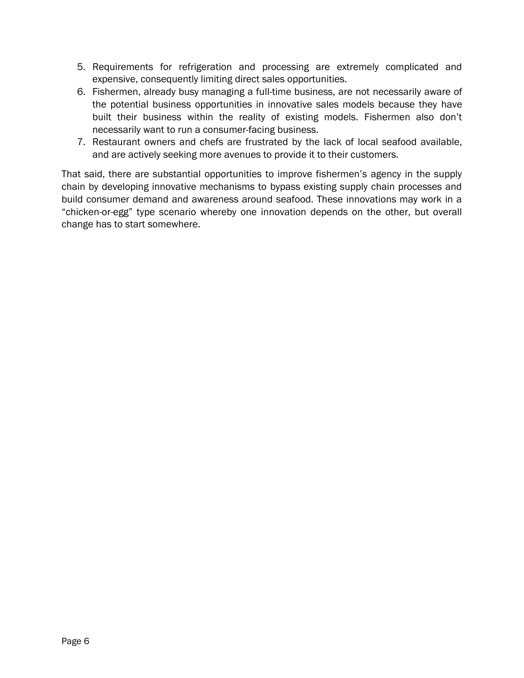- 5. Requirements for refrigeration and processing are extremely complicated and expensive, consequently limiting direct sales opportunities.
- 6. Fishermen, already busy managing a full-time business, are not necessarily aware of the potential business opportunities in innovative sales models because they have built their business within the reality of existing models. Fishermen also don't necessarily want to run a consumer-facing business.
- 7. Restaurant owners and chefs are frustrated by the lack of local seafood available, and are actively seeking more avenues to provide it to their customers.

That said, there are substantial opportunities to improve fishermen's agency in the supply chain by developing innovative mechanisms to bypass existing supply chain processes and build consumer demand and awareness around seafood. These innovations may work in a "chicken-or-egg" type scenario whereby one innovation depends on the other, but overall change has to start somewhere.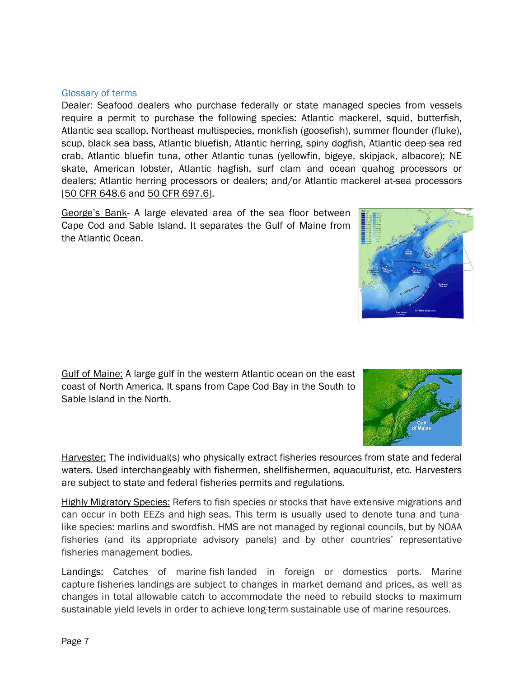Page 7

#### Glossary of terms

Dealer: Seafood dealers who purchase federally or state managed species from vessels require a permit to purchase the following species: Atlantic mackerel, squid, butterfish, Atlantic sea scallop, Northeast multispecies, monkfish (goosefish), summer flounder (fluke), scup, black sea bass, Atlantic bluefish, Atlantic herring, spiny dogfish, Atlantic deep-sea red crab, Atlantic bluefin tuna, other Atlantic tunas (yellowfin, bigeye, skipjack, albacore); NE skate, American lobster, Atlantic hagfish, surf clam and ocean quahog processors or dealers; Atlantic herring processors or dealers; and/or Atlantic mackerel at-sea processors [\[50 CFR 648.6](http://www.ecfr.gov/cgi-bin/retrieveECFR?gp=&SID=9f5bb83d0dd1bf6af01d7baf383b29c0&r=SUBPART&n=50y12.0.1.1.5.1#se50.12.648_16) and [50 CFR 697.6\]](http://www.ecfr.gov/cgi-bin/retrieveECFR?gp=&SID=e08f648c815483cb55fe251644534191&mc=true&n=pt50.13.697&r=PART&ty=HTML#se50.13.697_16).

George's Bank- A large elevated area of the sea floor between Cape Cod and Sable Island. It separates the Gulf of Maine from the Atlantic Ocean.

Gulf of Maine: A large gulf in the western Atlantic ocean on the east coast of North America. It spans from Cape Cod Bay in the South to Sable Island in the North.

Harvester: The individual(s) who physically extract fisheries resources from state and federal waters. Used interchangeably with fishermen, shellfishermen, aquaculturist, etc. Harvesters are subject to state and federal fisheries permits and regulations.

Highly Migratory Species: Refers to fish species or stocks that have extensive migrations and can occur in both EEZs and high seas. This term is usually used to denote tuna and tunalike species: marlins and swordfish. HMS are not managed by regional councils, but by NOAA fisheries (and its appropriate advisory panels) and by other countries' representative fisheries management bodies.

**Landings:** Catches of marine fish landed in foreign or domestics ports. Marine capture fisheries landings are subject to changes in market demand and prices, as well as changes in total allowable catch to accommodate the need to rebuild stocks to maximum sustainable yield levels in order to achieve long-term sustainable use of marine resources.



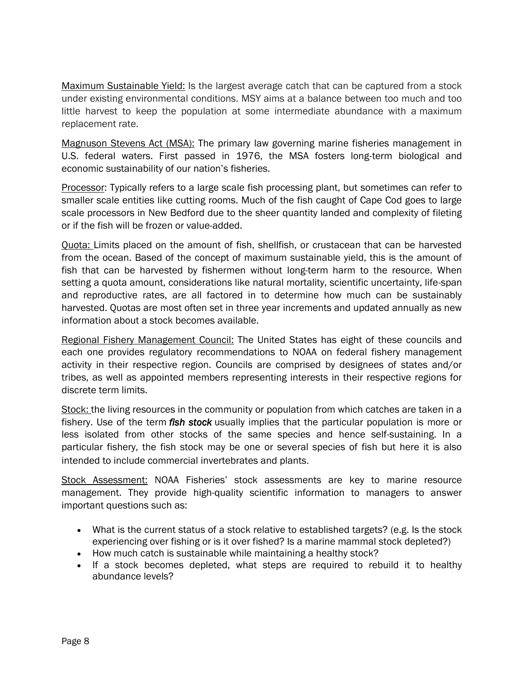Maximum Sustainable Yield: Is the largest average catch that can be captured from a stock under existing environmental conditions. MSY aims at a balance between too much and too little harvest to keep the population at some intermediate abundance with a maximum replacement rate.

Magnuson Stevens Act (MSA): The primary law governing marine fisheries management in U.S. federal waters. First passed in 1976, the MSA fosters long-term biological and economic sustainability of our nation's fisheries.

Processor: Typically refers to a large scale fish processing plant, but sometimes can refer to smaller scale entities like cutting rooms. Much of the fish caught of Cape Cod goes to large scale processors in New Bedford due to the sheer quantity landed and complexity of fileting or if the fish will be frozen or value-added.

Quota: Limits placed on the amount of fish, shellfish, or crustacean that can be harvested from the ocean. Based of the concept of maximum sustainable yield, this is the amount of fish that can be harvested by fishermen without long-term harm to the resource. When setting a quota amount, considerations like natural mortality, scientific uncertainty, life-span and reproductive rates, are all factored in to determine how much can be sustainably harvested. Quotas are most often set in three year increments and updated annually as new information about a stock becomes available.

Regional Fishery Management Council: The United States has eight of these councils and each one provides regulatory recommendations to NOAA on federal fishery management activity in their respective region. Councils are comprised by designees of states and/or tribes, as well as appointed members representing interests in their respective regions for discrete term limits.

Stock: the living resources in the community or population from which catches are taken in a fishery. Use of the term *fish stock* usually implies that the particular population is more or less isolated from other stocks of the same species and hence self-sustaining. In a particular fishery, the fish stock may be one or several species of fish but here it is also intended to include commercial invertebrates and plants.

Stock Assessment: NOAA Fisheries' stock assessments are key to marine resource management. They provide high-quality scientific information to managers to answer important questions such as:

- What is the current status of a stock relative to established targets? (e.g. Is the stock experiencing over fishing or is it over fished? Is a marine mammal stock depleted?)
- How much catch is sustainable while maintaining a healthy stock?
- If a stock becomes depleted, what steps are required to rebuild it to healthy abundance levels?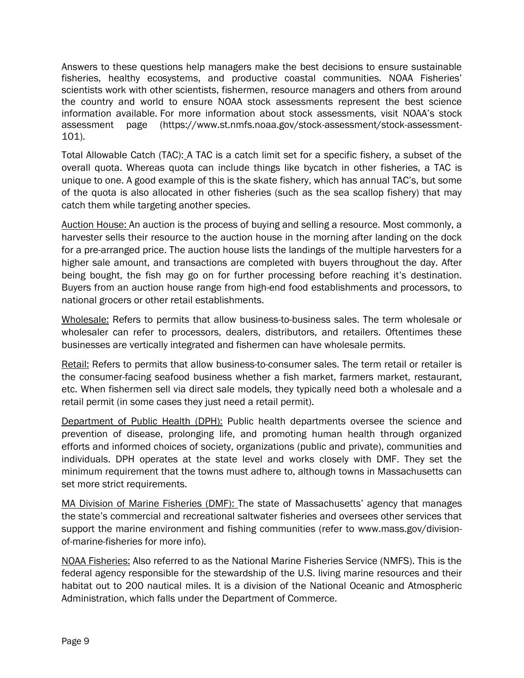Answers to these questions help managers make the best decisions to ensure sustainable fisheries, healthy ecosystems, and productive coastal communities. NOAA Fisheries' scientists work with other scientists, fishermen, resource managers and others from around the country and world to ensure NOAA stock assessments represent the best science information available. For more information about stock assessments, visit [NOAA's stock](https://www.st.nmfs.noaa.gov/stock-assessment/stock-assessment-101)  [assessment page](https://www.st.nmfs.noaa.gov/stock-assessment/stock-assessment-101) (https://www.st.nmfs.noaa.gov/stock-assessment/stock-assessment-101).

Total Allowable Catch (TAC): A TAC is a catch limit set for a specific fishery, a subset of the overall quota. Whereas quota can include things like bycatch in other fisheries, a TAC is unique to one. A good example of this is the skate fishery, which has annual TAC's, but some of the quota is also allocated in other fisheries (such as the sea scallop fishery) that may catch them while targeting another species.

Auction House: An auction is the process of buying and selling a resource. Most commonly, a harvester sells their resource to the auction house in the morning after landing on the dock for a pre-arranged price. The auction house lists the landings of the multiple harvesters for a higher sale amount, and transactions are completed with buyers throughout the day. After being bought, the fish may go on for further processing before reaching it's destination. Buyers from an auction house range from high-end food establishments and processors, to national grocers or other retail establishments.

Wholesale: Refers to permits that allow business-to-business sales. The term wholesale or wholesaler can refer to processors, dealers, distributors, and retailers. Oftentimes these businesses are vertically integrated and fishermen can have wholesale permits.

Retail: Refers to permits that allow business-to-consumer sales. The term retail or retailer is the consumer-facing seafood business whether a fish market, farmers market, restaurant, etc. When fishermen sell via direct sale models, they typically need both a wholesale and a retail permit (in some cases they just need a retail permit).

Department of Public Health (DPH): Public health departments oversee the science and prevention of disease, prolonging life, and promoting human health through organized efforts and informed choices of society, organizations (public and private), communities and individuals. DPH operates at the state level and works closely with DMF. They set the minimum requirement that the towns must adhere to, although towns in Massachusetts can set more strict requirements.

MA Division of Marine Fisheries (DMF): The state of Massachusetts' agency that manages the state's commercial and recreational saltwater fisheries and oversees other services that support the marine environment and fishing communities (refer to www.mass.gov/divisionof-marine-fisheries for more info).

NOAA Fisheries: Also referred to as the National Marine Fisheries Service (NMFS). This is the federal agency responsible for the stewardship of the U.S. living marine resources and their habitat out to 200 nautical miles. It is a division of the National Oceanic and Atmospheric Administration, which falls under the Department of Commerce.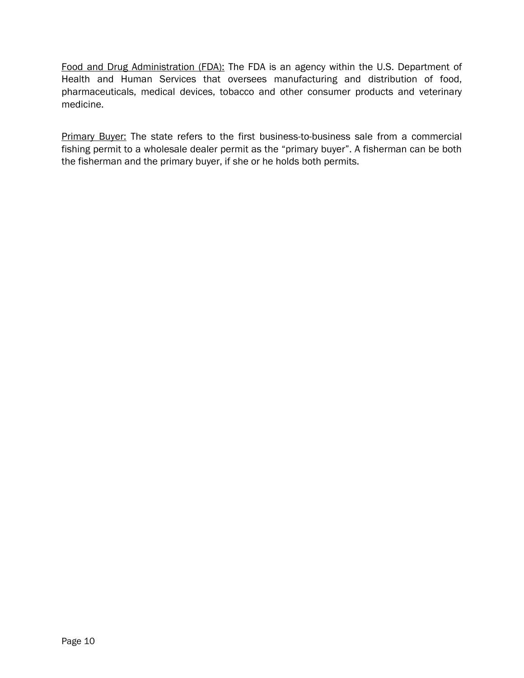Food and Drug Administration (FDA): The FDA is an agency within the U.S. Department of Health and Human Services that oversees manufacturing and distribution of food, pharmaceuticals, medical devices, tobacco and other consumer products and veterinary medicine.

Primary Buyer: The state refers to the first business-to-business sale from a commercial fishing permit to a wholesale dealer permit as the "primary buyer". A fisherman can be both the fisherman and the primary buyer, if she or he holds both permits.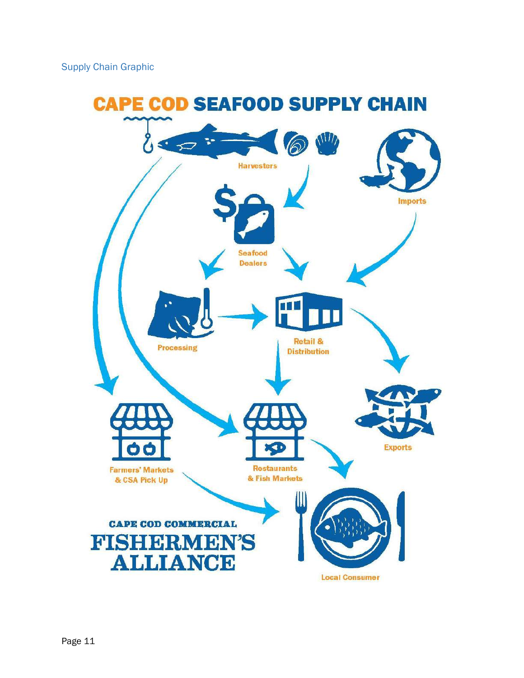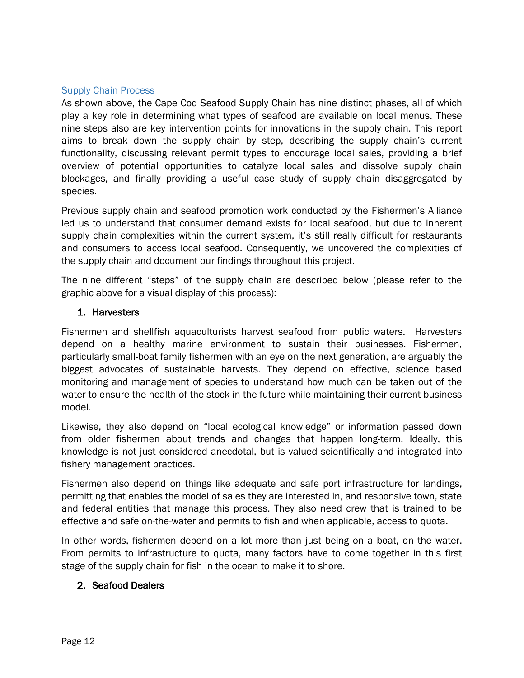#### Supply Chain Process

As shown above, the Cape Cod Seafood Supply Chain has nine distinct phases, all of which play a key role in determining what types of seafood are available on local menus. These nine steps also are key intervention points for innovations in the supply chain. This report aims to break down the supply chain by step, describing the supply chain's current functionality, discussing relevant permit types to encourage local sales, providing a brief overview of potential opportunities to catalyze local sales and dissolve supply chain blockages, and finally providing a useful case study of supply chain disaggregated by species.

Previous supply chain and seafood promotion work conducted by the Fishermen's Alliance led us to understand that consumer demand exists for local seafood, but due to inherent supply chain complexities within the current system, it's still really difficult for restaurants and consumers to access local seafood. Consequently, we uncovered the complexities of the supply chain and document our findings throughout this project.

The nine different "steps" of the supply chain are described below (please refer to the graphic above for a visual display of this process):

#### 1. Harvesters

Fishermen and shellfish aquaculturists harvest seafood from public waters. Harvesters depend on a healthy marine environment to sustain their businesses. Fishermen, particularly small-boat family fishermen with an eye on the next generation, are arguably the biggest advocates of sustainable harvests. They depend on effective, science based monitoring and management of species to understand how much can be taken out of the water to ensure the health of the stock in the future while maintaining their current business model.

Likewise, they also depend on "local ecological knowledge" or information passed down from older fishermen about trends and changes that happen long-term. Ideally, this knowledge is not just considered anecdotal, but is valued scientifically and integrated into fishery management practices.

Fishermen also depend on things like adequate and safe port infrastructure for landings, permitting that enables the model of sales they are interested in, and responsive town, state and federal entities that manage this process. They also need crew that is trained to be effective and safe on-the-water and permits to fish and when applicable, access to quota.

In other words, fishermen depend on a lot more than just being on a boat, on the water. From permits to infrastructure to quota, many factors have to come together in this first stage of the supply chain for fish in the ocean to make it to shore.

## 2. Seafood Dealers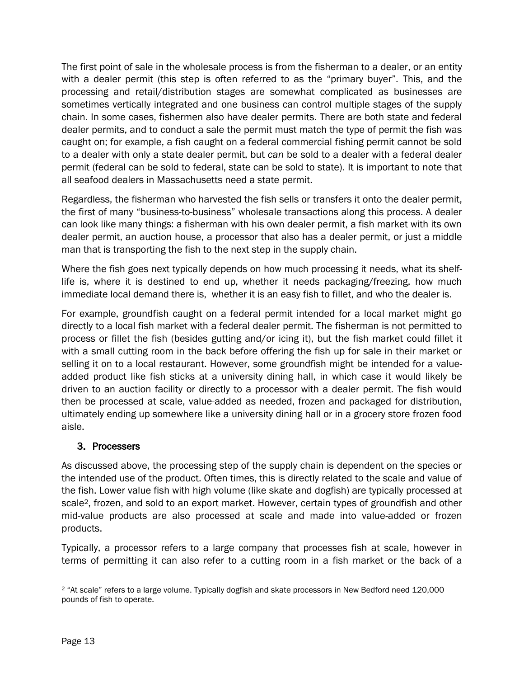The first point of sale in the wholesale process is from the fisherman to a dealer, or an entity with a dealer permit (this step is often referred to as the "primary buyer". This, and the processing and retail/distribution stages are somewhat complicated as businesses are sometimes vertically integrated and one business can control multiple stages of the supply chain. In some cases, fishermen also have dealer permits. There are both state and federal dealer permits, and to conduct a sale the permit must match the type of permit the fish was caught on; for example, a fish caught on a federal commercial fishing permit cannot be sold to a dealer with only a state dealer permit, but *can* be sold to a dealer with a federal dealer permit (federal can be sold to federal, state can be sold to state). It is important to note that all seafood dealers in Massachusetts need a state permit.

Regardless, the fisherman who harvested the fish sells or transfers it onto the dealer permit, the first of many "business-to-business" wholesale transactions along this process. A dealer can look like many things: a fisherman with his own dealer permit, a fish market with its own dealer permit, an auction house, a processor that also has a dealer permit, or just a middle man that is transporting the fish to the next step in the supply chain.

Where the fish goes next typically depends on how much processing it needs, what its shelflife is, where it is destined to end up, whether it needs packaging/freezing, how much immediate local demand there is, whether it is an easy fish to fillet, and who the dealer is.

For example, groundfish caught on a federal permit intended for a local market might go directly to a local fish market with a federal dealer permit. The fisherman is not permitted to process or fillet the fish (besides gutting and/or icing it), but the fish market could fillet it with a small cutting room in the back before offering the fish up for sale in their market or selling it on to a local restaurant. However, some groundfish might be intended for a valueadded product like fish sticks at a university dining hall, in which case it would likely be driven to an auction facility or directly to a processor with a dealer permit. The fish would then be processed at scale, value-added as needed, frozen and packaged for distribution, ultimately ending up somewhere like a university dining hall or in a grocery store frozen food aisle.

## 3. Processers

As discussed above, the processing step of the supply chain is dependent on the species or the intended use of the product. Often times, this is directly related to the scale and value of the fish. Lower value fish with high volume (like skate and dogfish) are typically processed at scale<sup>2</sup>, frozen, and sold to an export market. However, certain types of groundfish and other mid-value products are also processed at scale and made into value-added or frozen products.

Typically, a processor refers to a large company that processes fish at scale, however in terms of permitting it can also refer to a cutting room in a fish market or the back of a

l <sup>2</sup> "At scale" refers to a large volume. Typically dogfish and skate processors in New Bedford need 120,000 pounds of fish to operate.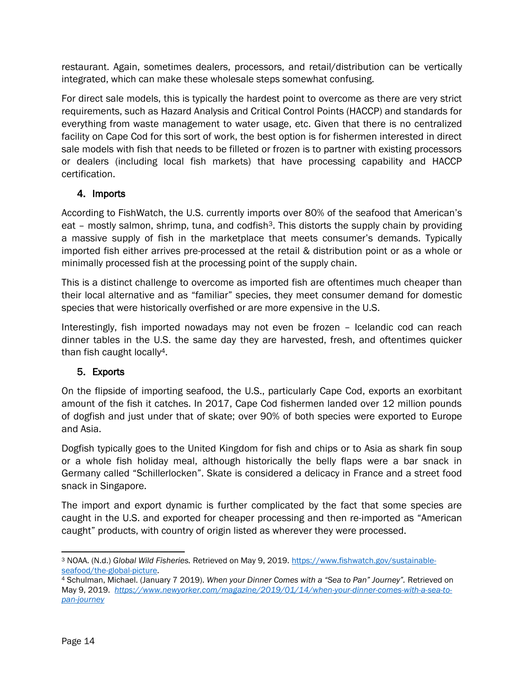restaurant. Again, sometimes dealers, processors, and retail/distribution can be vertically integrated, which can make these wholesale steps somewhat confusing.

For direct sale models, this is typically the hardest point to overcome as there are very strict requirements, such as Hazard Analysis and Critical Control Points (HACCP) and standards for everything from waste management to water usage, etc. Given that there is no centralized facility on Cape Cod for this sort of work, the best option is for fishermen interested in direct sale models with fish that needs to be filleted or frozen is to partner with existing processors or dealers (including local fish markets) that have processing capability and HACCP certification.

## 4. Imports

According to FishWatch, the U.S. currently imports over 80% of the seafood that American's eat – mostly salmon, shrimp, tuna, and codfish<sup>3</sup>. This distorts the supply chain by providing a massive supply of fish in the marketplace that meets consumer's demands. Typically imported fish either arrives pre-processed at the retail & distribution point or as a whole or minimally processed fish at the processing point of the supply chain.

This is a distinct challenge to overcome as imported fish are oftentimes much cheaper than their local alternative and as "familiar" species, they meet consumer demand for domestic species that were historically overfished or are more expensive in the U.S.

Interestingly, fish imported nowadays may not even be frozen – Icelandic cod can reach dinner tables in the U.S. the same day they are harvested, fresh, and oftentimes quicker than fish caught locally4.

## 5. Exports

On the flipside of importing seafood, the U.S., particularly Cape Cod, exports an exorbitant amount of the fish it catches. In 2017, Cape Cod fishermen landed over 12 million pounds of dogfish and just under that of skate; over 90% of both species were exported to Europe and Asia.

Dogfish typically goes to the United Kingdom for fish and chips or to Asia as shark fin soup or a whole fish holiday meal, although historically the belly flaps were a bar snack in Germany called "Schillerlocken". Skate is considered a delicacy in France and a street food snack in Singapore.

The import and export dynamic is further complicated by the fact that some species are caught in the U.S. and exported for cheaper processing and then re-imported as "American caught" products, with country of origin listed as wherever they were processed.

 $\overline{\phantom{a}}$ <sup>3</sup> NOAA. (N.d.) *Global Wild Fisheries.* Retrieved on May 9, 2019[. https://www.fishwatch.gov/sustainable](https://www.fishwatch.gov/sustainable-seafood/the-global-picture)[seafood/the-global-picture.](https://www.fishwatch.gov/sustainable-seafood/the-global-picture)

<sup>4</sup> Schulman, Michael. (January 7 2019). *When your Dinner Comes with a "Sea to Pan" Journey".* Retrieved on May 9, 2019. *[https://www.newyorker.com/magazine/2019/01/14/when-your-dinner-comes-with-a-sea-to](https://www.newyorker.com/magazine/2019/01/14/when-your-dinner-comes-with-a-sea-to-pan-journey)[pan-journey](https://www.newyorker.com/magazine/2019/01/14/when-your-dinner-comes-with-a-sea-to-pan-journey)*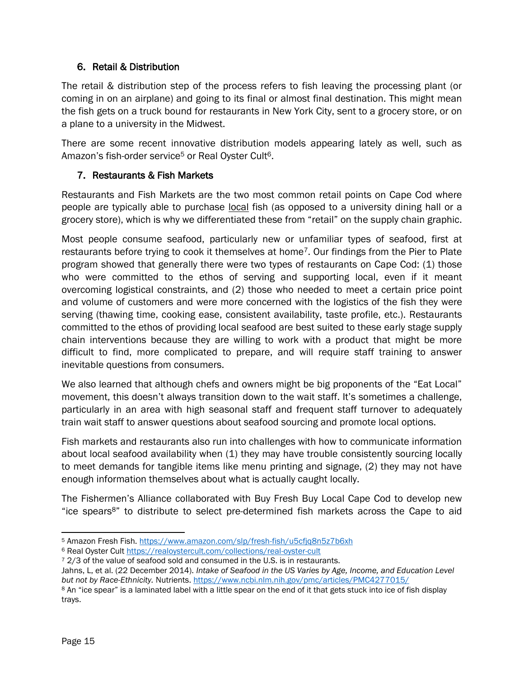## 6. Retail & Distribution

The retail & distribution step of the process refers to fish leaving the processing plant (or coming in on an airplane) and going to its final or almost final destination. This might mean the fish gets on a truck bound for restaurants in New York City, sent to a grocery store, or on a plane to a university in the Midwest.

There are some recent innovative distribution models appearing lately as well, such as Amazon's fish-order service<sup>5</sup> or Real [Oyster Cult](https://realoystercult.com/)<sup>6</sup>.

## 7. Restaurants & Fish Markets

Restaurants and Fish Markets are the two most common retail points on Cape Cod where people are typically able to purchase local fish (as opposed to a university dining hall or a grocery store), which is why we differentiated these from "retail" on the supply chain graphic.

Most people consume seafood, particularly new or unfamiliar types of seafood, first at restaurants before trying to cook it themselves at home<sup>7</sup>. Our findings from the Pier to Plate program showed that generally there were two types of restaurants on Cape Cod: (1) those who were committed to the ethos of serving and supporting local, even if it meant overcoming logistical constraints, and (2) those who needed to meet a certain price point and volume of customers and were more concerned with the logistics of the fish they were serving (thawing time, cooking ease, consistent availability, taste profile, etc.). Restaurants committed to the ethos of providing local seafood are best suited to these early stage supply chain interventions because they are willing to work with a product that might be more difficult to find, more complicated to prepare, and will require staff training to answer inevitable questions from consumers.

We also learned that although chefs and owners might be big proponents of the "Eat Local" movement, this doesn't always transition down to the wait staff. It's sometimes a challenge, particularly in an area with high seasonal staff and frequent staff turnover to adequately train wait staff to answer questions about seafood sourcing and promote local options.

Fish markets and restaurants also run into challenges with how to communicate information about local seafood availability when (1) they may have trouble consistently sourcing locally to meet demands for tangible items like menu printing and signage, (2) they may not have enough information themselves about what is actually caught locally.

The Fishermen's Alliance collaborated with Buy Fresh Buy Local Cape Cod to develop new "ice spears8" to distribute to select pre-determined fish markets across the Cape to aid

l <sup>5</sup> Amazon Fresh Fish.<https://www.amazon.com/slp/fresh-fish/u5cfjq8n5z7b6xh>

<sup>6</sup> Real Oyster Cult<https://realoystercult.com/collections/real-oyster-cult>

<sup>&</sup>lt;sup>7</sup> 2/3 of the value of seafood sold and consumed in the U.S. is in restaurants.

Jahns, L, et al. (22 December 2014). *Intake of Seafood in the US Varies by Age, Income, and Education Level but not by Race-Ethnicity.* Nutrients.<https://www.ncbi.nlm.nih.gov/pmc/articles/PMC4277015/>

<sup>8</sup> An "ice spear" is a laminated label with a little spear on the end of it that gets stuck into ice of fish display trays.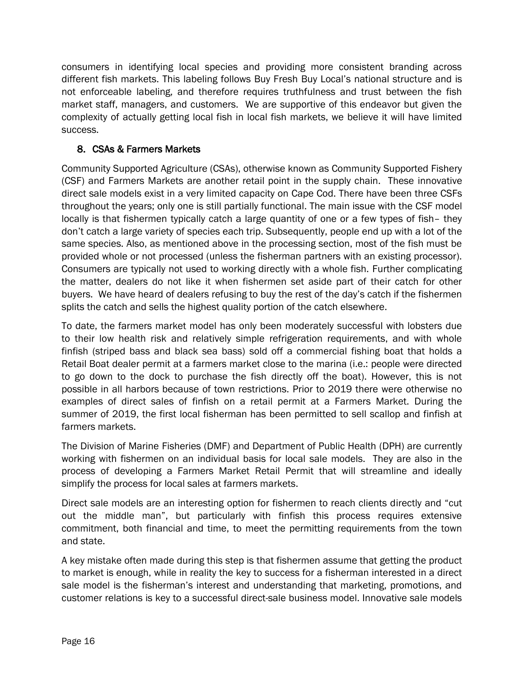consumers in identifying local species and providing more consistent branding across different fish markets. This labeling follows Buy Fresh Buy Local's national structure and is not enforceable labeling, and therefore requires truthfulness and trust between the fish market staff, managers, and customers. We are supportive of this endeavor but given the complexity of actually getting local fish in local fish markets, we believe it will have limited success.

## 8. CSAs & Farmers Markets

Community Supported Agriculture (CSAs), otherwise known as Community Supported Fishery (CSF) and Farmers Markets are another retail point in the supply chain. These innovative direct sale models exist in a very limited capacity on Cape Cod. There have been three CSFs throughout the years; only one is still partially functional. The main issue with the CSF model locally is that fishermen typically catch a large quantity of one or a few types of fish– they don't catch a large variety of species each trip. Subsequently, people end up with a lot of the same species. Also, as mentioned above in the processing section, most of the fish must be provided whole or not processed (unless the fisherman partners with an existing processor). Consumers are typically not used to working directly with a whole fish. Further complicating the matter, dealers do not like it when fishermen set aside part of their catch for other buyers. We have heard of dealers refusing to buy the rest of the day's catch if the fishermen splits the catch and sells the highest quality portion of the catch elsewhere.

To date, the farmers market model has only been moderately successful with lobsters due to their low health risk and relatively simple refrigeration requirements, and with whole finfish (striped bass and black sea bass) sold off a commercial fishing boat that holds a Retail Boat dealer permit at a farmers market close to the marina (i.e.: people were directed to go down to the dock to purchase the fish directly off the boat). However, this is not possible in all harbors because of town restrictions. Prior to 2019 there were otherwise no examples of direct sales of finfish on a retail permit at a Farmers Market. During the summer of 2019, the first local fisherman has been permitted to sell scallop and finfish at farmers markets.

The Division of Marine Fisheries (DMF) and Department of Public Health (DPH) are currently working with fishermen on an individual basis for local sale models. They are also in the process of developing a Farmers Market Retail Permit that will streamline and ideally simplify the process for local sales at farmers markets.

Direct sale models are an interesting option for fishermen to reach clients directly and "cut out the middle man", but particularly with finfish this process requires extensive commitment, both financial and time, to meet the permitting requirements from the town and state.

A key mistake often made during this step is that fishermen assume that getting the product to market is enough, while in reality the key to success for a fisherman interested in a direct sale model is the fisherman's interest and understanding that marketing, promotions, and customer relations is key to a successful direct-sale business model. Innovative sale models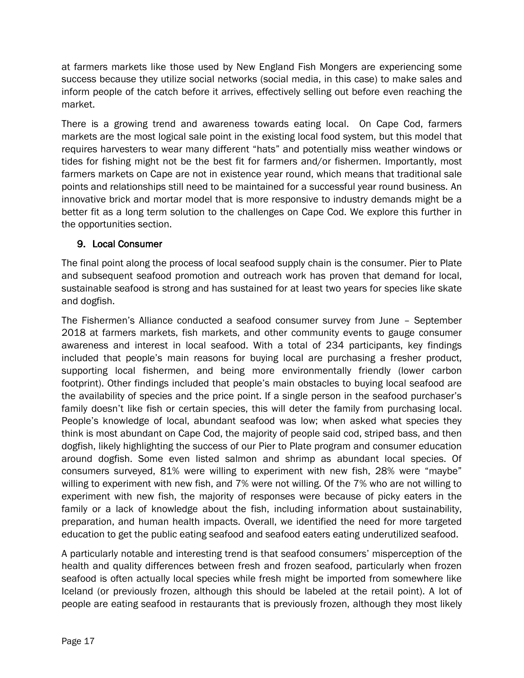at farmers markets like those used by New England Fish Mongers are experiencing some success because they utilize social networks (social media, in this case) to make sales and inform people of the catch before it arrives, effectively selling out before even reaching the market.

There is a growing trend and awareness towards eating local. On Cape Cod, farmers markets are the most logical sale point in the existing local food system, but this model that requires harvesters to wear many different "hats" and potentially miss weather windows or tides for fishing might not be the best fit for farmers and/or fishermen. Importantly, most farmers markets on Cape are not in existence year round, which means that traditional sale points and relationships still need to be maintained for a successful year round business. An innovative brick and mortar model that is more responsive to industry demands might be a better fit as a long term solution to the challenges on Cape Cod. We explore this further in the opportunities section.

## 9. Local Consumer

The final point along the process of local seafood supply chain is the consumer. Pier to Plate and subsequent seafood promotion and outreach work has proven that demand for local, sustainable seafood is strong and has sustained for at least two years for species like skate and dogfish.

The Fishermen's Alliance conducted a seafood consumer survey from June – September 2018 at farmers markets, fish markets, and other community events to gauge consumer awareness and interest in local seafood. With a total of 234 participants, key findings included that people's main reasons for buying local are purchasing a fresher product, supporting local fishermen, and being more environmentally friendly (lower carbon footprint). Other findings included that people's main obstacles to buying local seafood are the availability of species and the price point. If a single person in the seafood purchaser's family doesn't like fish or certain species, this will deter the family from purchasing local. People's knowledge of local, abundant seafood was low; when asked what species they think is most abundant on Cape Cod, the majority of people said cod, striped bass, and then dogfish, likely highlighting the success of our Pier to Plate program and consumer education around dogfish. Some even listed salmon and shrimp as abundant local species. Of consumers surveyed, 81% were willing to experiment with new fish, 28% were "maybe" willing to experiment with new fish, and 7% were not willing. Of the 7% who are not willing to experiment with new fish, the majority of responses were because of picky eaters in the family or a lack of knowledge about the fish, including information about sustainability, preparation, and human health impacts. Overall, we identified the need for more targeted education to get the public eating seafood and seafood eaters eating underutilized seafood.

A particularly notable and interesting trend is that seafood consumers' misperception of the health and quality differences between fresh and frozen seafood, particularly when frozen seafood is often actually local species while fresh might be imported from somewhere like Iceland (or previously frozen, although this should be labeled at the retail point). A lot of people are eating seafood in restaurants that is previously frozen, although they most likely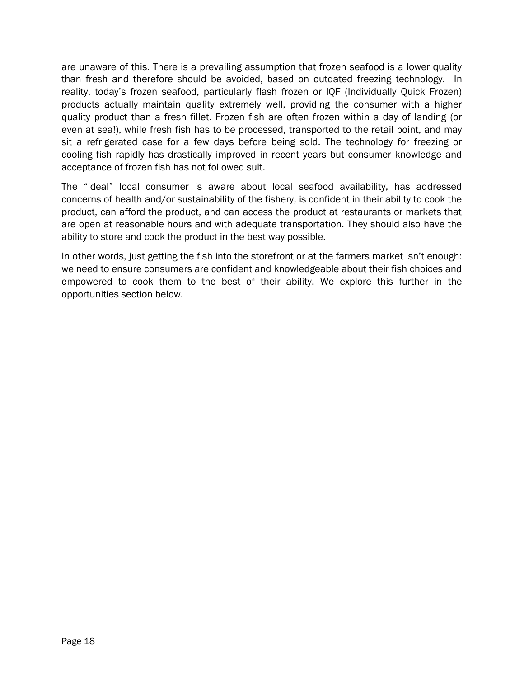are unaware of this. There is a prevailing assumption that frozen seafood is a lower quality than fresh and therefore should be avoided, based on outdated freezing technology. In reality, today's frozen seafood, particularly flash frozen or IQF (Individually Quick Frozen) products actually maintain quality extremely well, providing the consumer with a higher quality product than a fresh fillet. Frozen fish are often frozen within a day of landing (or even at sea!), while fresh fish has to be processed, transported to the retail point, and may sit a refrigerated case for a few days before being sold. The technology for freezing or cooling fish rapidly has drastically improved in recent years but consumer knowledge and acceptance of frozen fish has not followed suit.

The "ideal" local consumer is aware about local seafood availability, has addressed concerns of health and/or sustainability of the fishery, is confident in their ability to cook the product, can afford the product, and can access the product at restaurants or markets that are open at reasonable hours and with adequate transportation. They should also have the ability to store and cook the product in the best way possible.

In other words, just getting the fish into the storefront or at the farmers market isn't enough: we need to ensure consumers are confident and knowledgeable about their fish choices and empowered to cook them to the best of their ability. We explore this further in the opportunities section below.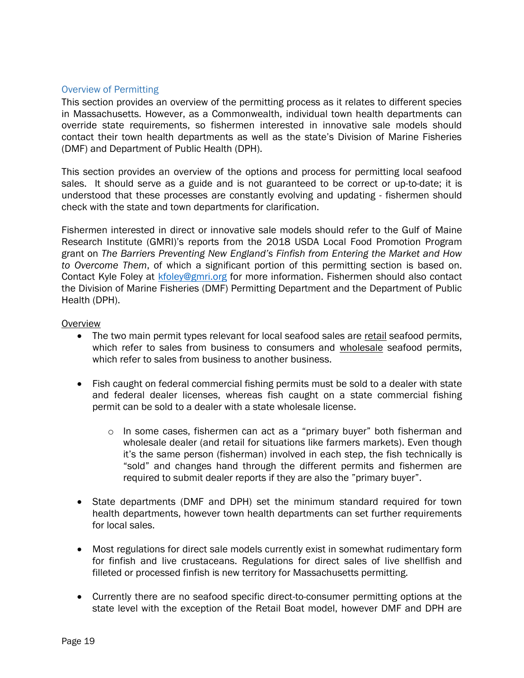#### Overview of Permitting

This section provides an overview of the permitting process as it relates to different species in Massachusetts. However, as a Commonwealth, individual town health departments can override state requirements, so fishermen interested in innovative sale models should contact their town health departments as well as the state's Division of Marine Fisheries (DMF) and Department of Public Health (DPH).

This section provides an overview of the options and process for permitting local seafood sales. It should serve as a guide and is not guaranteed to be correct or up-to-date; it is understood that these processes are constantly evolving and updating - fishermen should check with the state and town departments for clarification.

Fishermen interested in direct or innovative sale models should refer to the Gulf of Maine Research Institute (GMRI)'s reports from the 2018 USDA Local Food Promotion Program grant on *The Barriers Preventing New England's Finfish from Entering the Market and How to Overcome Them*, of which a significant portion of this permitting section is based on. Contact Kyle Foley at **kfoley@gmri.org** for more information. Fishermen should also contact the Division of Marine Fisheries (DMF) Permitting Department and the Department of Public Health (DPH).

#### **Overview**

- The two main permit types relevant for local seafood sales are retail seafood permits, which refer to sales from business to consumers and wholesale seafood permits, which refer to sales from business to another business.
- Fish caught on federal commercial fishing permits must be sold to a dealer with state and federal dealer licenses, whereas fish caught on a state commercial fishing permit can be sold to a dealer with a state wholesale license.
	- o In some cases, fishermen can act as a "primary buyer" both fisherman and wholesale dealer (and retail for situations like farmers markets). Even though it's the same person (fisherman) involved in each step, the fish technically is "sold" and changes hand through the different permits and fishermen are required to submit dealer reports if they are also the "primary buyer".
- State departments (DMF and DPH) set the minimum standard required for town health departments, however town health departments can set further requirements for local sales.
- Most regulations for direct sale models currently exist in somewhat rudimentary form for finfish and live crustaceans. Regulations for direct sales of live shellfish and filleted or processed finfish is new territory for Massachusetts permitting.
- Currently there are no seafood specific direct-to-consumer permitting options at the state level with the exception of the Retail Boat model, however DMF and DPH are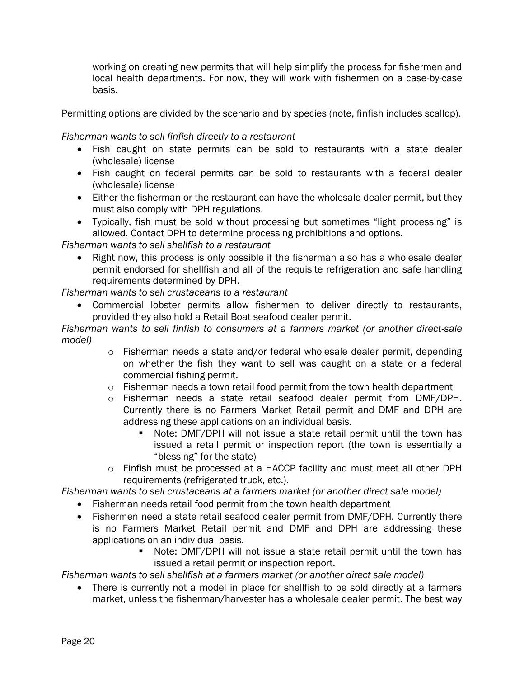working on creating new permits that will help simplify the process for fishermen and local health departments. For now, they will work with fishermen on a case-by-case basis.

Permitting options are divided by the scenario and by species (note, finfish includes scallop).

*Fisherman wants to sell finfish directly to a restaurant* 

- Fish caught on state permits can be sold to restaurants with a state dealer (wholesale) license
- Fish caught on federal permits can be sold to restaurants with a federal dealer (wholesale) license
- Either the fisherman or the restaurant can have the wholesale dealer permit, but they must also comply with DPH regulations.
- Typically, fish must be sold without processing but sometimes "light processing" is allowed. Contact DPH to determine processing prohibitions and options.

*Fisherman wants to sell shellfish to a restaurant*

• Right now, this process is only possible if the fisherman also has a wholesale dealer permit endorsed for shellfish and all of the requisite refrigeration and safe handling requirements determined by DPH.

*Fisherman wants to sell crustaceans to a restaurant*

 Commercial lobster permits allow fishermen to deliver directly to restaurants, provided they also hold a Retail Boat seafood dealer permit.

*Fisherman wants to sell finfish to consumers at a farmers market (or another direct-sale model)*

- $\circ$  Fisherman needs a state and/or federal wholesale dealer permit, depending on whether the fish they want to sell was caught on a state or a federal commercial fishing permit.
- $\circ$  Fisherman needs a town retail food permit from the town health department
- o Fisherman needs a state retail seafood dealer permit from DMF/DPH. Currently there is no Farmers Market Retail permit and DMF and DPH are addressing these applications on an individual basis.
	- Note: DMF/DPH will not issue a state retail permit until the town has issued a retail permit or inspection report (the town is essentially a "blessing" for the state)
- o Finfish must be processed at a HACCP facility and must meet all other DPH requirements (refrigerated truck, etc.).

*Fisherman wants to sell crustaceans at a farmers market (or another direct sale model)*

- Fisherman needs retail food permit from the town health department
- Fishermen need a state retail seafood dealer permit from DMF/DPH. Currently there is no Farmers Market Retail permit and DMF and DPH are addressing these applications on an individual basis.
	- Note: DMF/DPH will not issue a state retail permit until the town has issued a retail permit or inspection report.

*Fisherman wants to sell shellfish at a farmers market (or another direct sale model)*

 There is currently not a model in place for shellfish to be sold directly at a farmers market, unless the fisherman/harvester has a wholesale dealer permit. The best way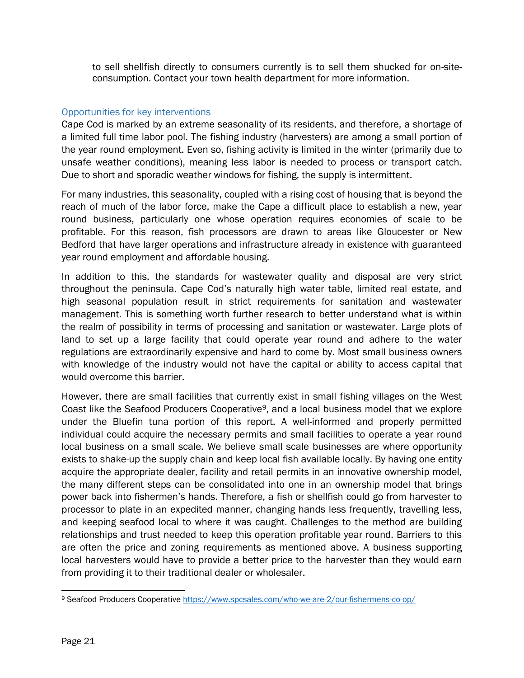to sell shellfish directly to consumers currently is to sell them shucked for on-siteconsumption. Contact your town health department for more information.

#### Opportunities for key interventions

Cape Cod is marked by an extreme seasonality of its residents, and therefore, a shortage of a limited full time labor pool. The fishing industry (harvesters) are among a small portion of the year round employment. Even so, fishing activity is limited in the winter (primarily due to unsafe weather conditions), meaning less labor is needed to process or transport catch. Due to short and sporadic weather windows for fishing, the supply is intermittent.

For many industries, this seasonality, coupled with a rising cost of housing that is beyond the reach of much of the labor force, make the Cape a difficult place to establish a new, year round business, particularly one whose operation requires economies of scale to be profitable. For this reason, fish processors are drawn to areas like Gloucester or New Bedford that have larger operations and infrastructure already in existence with guaranteed year round employment and affordable housing.

In addition to this, the standards for wastewater quality and disposal are very strict throughout the peninsula. Cape Cod's naturally high water table, limited real estate, and high seasonal population result in strict requirements for sanitation and wastewater management. This is something worth further research to better understand what is within the realm of possibility in terms of processing and sanitation or wastewater. Large plots of land to set up a large facility that could operate year round and adhere to the water regulations are extraordinarily expensive and hard to come by. Most small business owners with knowledge of the industry would not have the capital or ability to access capital that would overcome this barrier.

However, there are small facilities that currently exist in small fishing villages on the West Coast like the Seafood Producers Cooperative9, and a local business model that we explore under the Bluefin tuna portion of this report. A well-informed and properly permitted individual could acquire the necessary permits and small facilities to operate a year round local business on a small scale. We believe small scale businesses are where opportunity exists to shake-up the supply chain and keep local fish available locally. By having one entity acquire the appropriate dealer, facility and retail permits in an innovative ownership model, the many different steps can be consolidated into one in an ownership model that brings power back into fishermen's hands. Therefore, a fish or shellfish could go from harvester to processor to plate in an expedited manner, changing hands less frequently, travelling less, and keeping seafood local to where it was caught. Challenges to the method are building relationships and trust needed to keep this operation profitable year round. Barriers to this are often the price and zoning requirements as mentioned above. A business supporting local harvesters would have to provide a better price to the harvester than they would earn from providing it to their traditional dealer or wholesaler.

 $\overline{\phantom{a}}$ <sup>9</sup> Seafood Producers Cooperative<https://www.spcsales.com/who-we-are-2/our-fishermens-co-op/>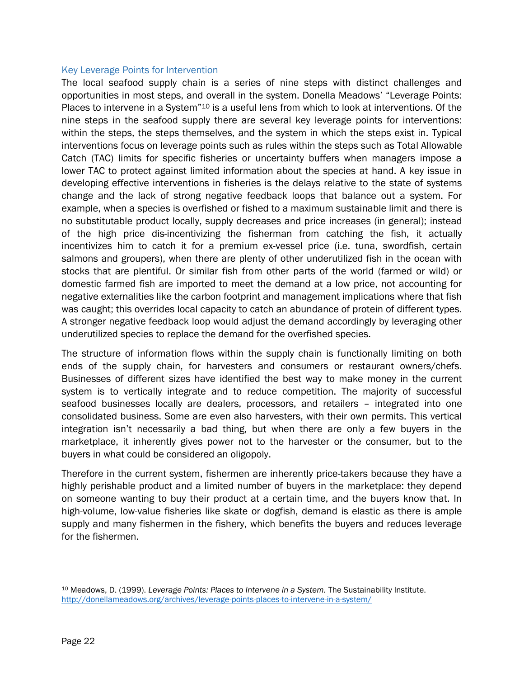#### Key Leverage Points for Intervention

The local seafood supply chain is a series of nine steps with distinct challenges and opportunities in most steps, and overall in the system. Donella Meadows' "Leverage Points: Places to intervene in a System"<sup>10</sup> is a useful lens from which to look at interventions. Of the nine steps in the seafood supply there are several key leverage points for interventions: within the steps, the steps themselves, and the system in which the steps exist in. Typical interventions focus on leverage points such as rules within the steps such as Total Allowable Catch (TAC) limits for specific fisheries or uncertainty buffers when managers impose a lower TAC to protect against limited information about the species at hand. A key issue in developing effective interventions in fisheries is the delays relative to the state of systems change and the lack of strong negative feedback loops that balance out a system. For example, when a species is overfished or fished to a maximum sustainable limit and there is no substitutable product locally, supply decreases and price increases (in general); instead of the high price dis-incentivizing the fisherman from catching the fish, it actually incentivizes him to catch it for a premium ex-vessel price (i.e. tuna, swordfish, certain salmons and groupers), when there are plenty of other underutilized fish in the ocean with stocks that are plentiful. Or similar fish from other parts of the world (farmed or wild) or domestic farmed fish are imported to meet the demand at a low price, not accounting for negative externalities like the carbon footprint and management implications where that fish was caught; this overrides local capacity to catch an abundance of protein of different types. A stronger negative feedback loop would adjust the demand accordingly by leveraging other underutilized species to replace the demand for the overfished species.

The structure of information flows within the supply chain is functionally limiting on both ends of the supply chain, for harvesters and consumers or restaurant owners/chefs. Businesses of different sizes have identified the best way to make money in the current system is to vertically integrate and to reduce competition. The majority of successful seafood businesses locally are dealers, processors, and retailers – integrated into one consolidated business. Some are even also harvesters, with their own permits. This vertical integration isn't necessarily a bad thing, but when there are only a few buyers in the marketplace, it inherently gives power not to the harvester or the consumer, but to the buyers in what could be considered an oligopoly.

Therefore in the current system, fishermen are inherently price-takers because they have a highly perishable product and a limited number of buyers in the marketplace: they depend on someone wanting to buy their product at a certain time, and the buyers know that. In high-volume, low-value fisheries like skate or dogfish, demand is elastic as there is ample supply and many fishermen in the fishery, which benefits the buyers and reduces leverage for the fishermen.

l <sup>10</sup> Meadows, D. (1999). *Leverage Points: Places to Intervene in a System.* The Sustainability Institute. <http://donellameadows.org/archives/leverage-points-places-to-intervene-in-a-system/>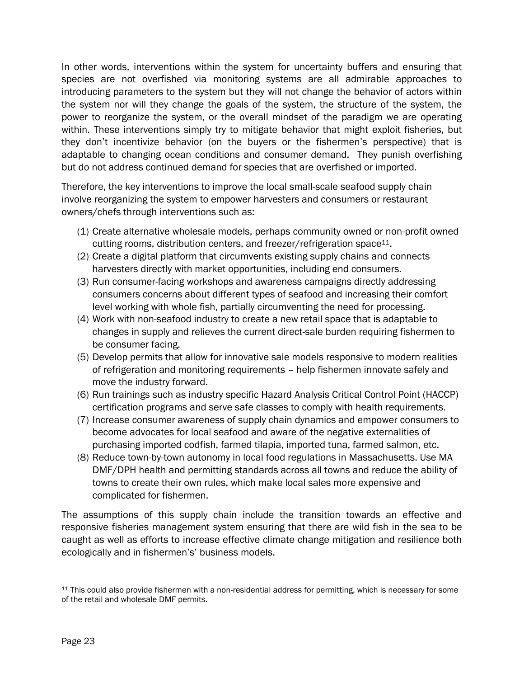In other words, interventions within the system for uncertainty buffers and ensuring that species are not overfished via monitoring systems are all admirable approaches to introducing parameters to the system but they will not change the behavior of actors within the system nor will they change the goals of the system, the structure of the system, the power to reorganize the system, or the overall mindset of the paradigm we are operating within. These interventions simply try to mitigate behavior that might exploit fisheries, but they don't incentivize behavior (on the buyers or the fishermen's perspective) that is adaptable to changing ocean conditions and consumer demand. They punish overfishing but do not address continued demand for species that are overfished or imported.

Therefore, the key interventions to improve the local small-scale seafood supply chain involve reorganizing the system to empower harvesters and consumers or restaurant owners/chefs through interventions such as:

- (1) Create alternative wholesale models, perhaps community owned or non-profit owned cutting rooms, distribution centers, and freezer/refrigeration space<sup>11</sup>.
- (2) Create a digital platform that circumvents existing supply chains and connects harvesters directly with market opportunities, including end consumers.
- (3) Run consumer-facing workshops and awareness campaigns directly addressing consumers concerns about different types of seafood and increasing their comfort level working with whole fish, partially circumventing the need for processing.
- (4) Work with non-seafood industry to create a new retail space that is adaptable to changes in supply and relieves the current direct-sale burden requiring fishermen to be consumer facing.
- (5) Develop permits that allow for innovative sale models responsive to modern realities of refrigeration and monitoring requirements – help fishermen innovate safely and move the industry forward.
- (6) Run trainings such as industry specific Hazard Analysis Critical Control Point (HACCP) certification programs and serve safe classes to comply with health requirements.
- (7) Increase consumer awareness of supply chain dynamics and empower consumers to become advocates for local seafood and aware of the negative externalities of purchasing imported codfish, farmed tilapia, imported tuna, farmed salmon, etc.
- (8) Reduce town-by-town autonomy in local food regulations in Massachusetts. Use MA DMF/DPH health and permitting standards across all towns and reduce the ability of towns to create their own rules, which make local sales more expensive and complicated for fishermen.

The assumptions of this supply chain include the transition towards an effective and responsive fisheries management system ensuring that there are wild fish in the sea to be caught as well as efforts to increase effective climate change mitigation and resilience both ecologically and in fishermen's' business models.

l <sup>11</sup> This could also provide fishermen with a non-residential address for permitting, which is necessary for some of the retail and wholesale DMF permits.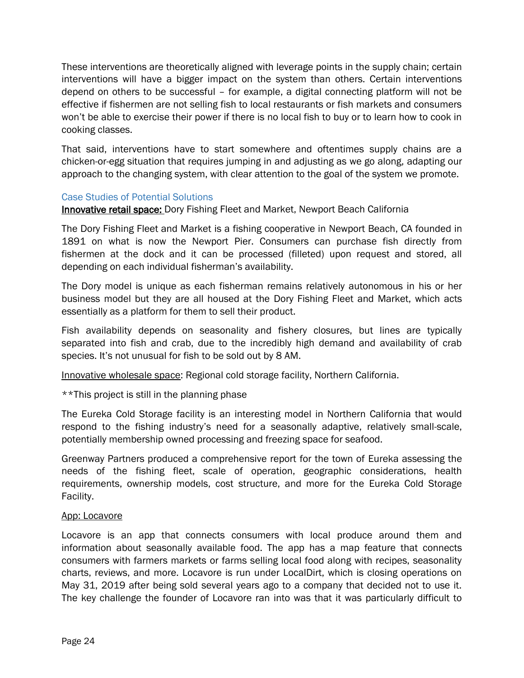These interventions are theoretically aligned with leverage points in the supply chain; certain interventions will have a bigger impact on the system than others. Certain interventions depend on others to be successful – for example, a digital connecting platform will not be effective if fishermen are not selling fish to local restaurants or fish markets and consumers won't be able to exercise their power if there is no local fish to buy or to learn how to cook in cooking classes.

That said, interventions have to start somewhere and oftentimes supply chains are a chicken-or-egg situation that requires jumping in and adjusting as we go along, adapting our approach to the changing system, with clear attention to the goal of the system we promote.

#### Case Studies of Potential Solutions

Innovative retail space: Dory Fishing Fleet and Market, Newport Beach California

The Dory Fishing Fleet and Market is a fishing cooperative in Newport Beach, CA founded in 1891 on what is now the Newport Pier. Consumers can purchase fish directly from fishermen at the dock and it can be processed (filleted) upon request and stored, all depending on each individual fisherman's availability.

The Dory model is unique as each fisherman remains relatively autonomous in his or her business model but they are all housed at the Dory Fishing Fleet and Market, which acts essentially as a platform for them to sell their product.

Fish availability depends on seasonality and fishery closures, but lines are typically separated into fish and crab, due to the incredibly high demand and availability of crab species. It's not unusual for fish to be sold out by 8 AM.

Innovative wholesale space: Regional cold storage facility, Northern California.

\*\*This project is still in the planning phase

The Eureka Cold Storage facility is an interesting model in Northern California that would respond to the fishing industry's need for a seasonally adaptive, relatively small-scale, potentially membership owned processing and freezing space for seafood.

Greenway Partners produced a comprehensive report for the town of Eureka assessing the needs of the fishing fleet, scale of operation, geographic considerations, health requirements, ownership models, cost structure, and more for the Eureka Cold Storage Facility.

#### App: Locavore

Locavore is an app that connects consumers with local produce around them and information about seasonally available food. The app has a map feature that connects consumers with farmers markets or farms selling local food along with recipes, seasonality charts, reviews, and more. Locavore is run under LocalDirt, which is closing operations on May 31, 2019 after being sold several years ago to a company that decided not to use it. The key challenge the founder of Locavore ran into was that it was particularly difficult to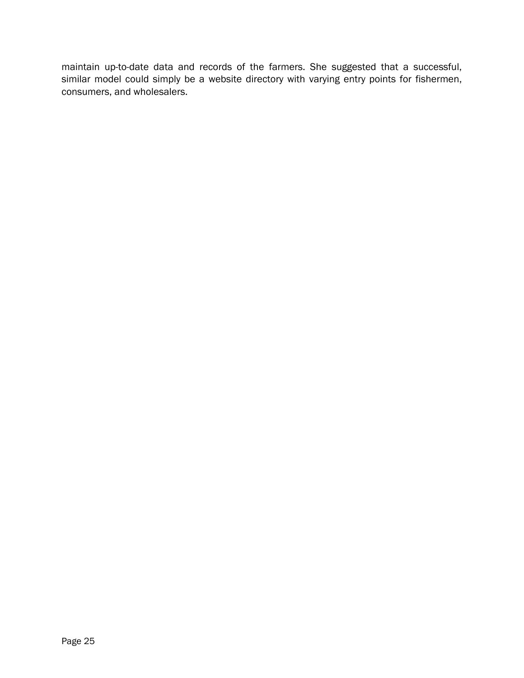maintain up-to-date data and records of the farmers. She suggested that a successful, similar model could simply be a website directory with varying entry points for fishermen, consumers, and wholesalers.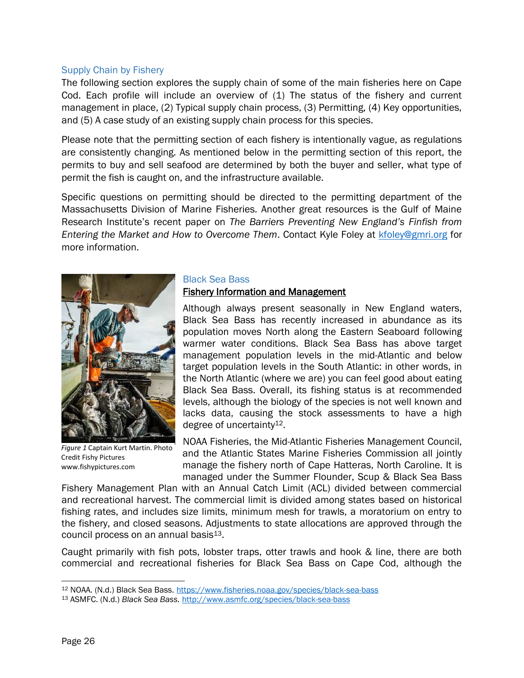#### Supply Chain by Fishery

The following section explores the supply chain of some of the main fisheries here on Cape Cod. Each profile will include an overview of  $(1)$  The status of the fishery and current management in place, (2) Typical supply chain process, (3) Permitting, (4) Key opportunities, and (5) A case study of an existing supply chain process for this species.

Please note that the permitting section of each fishery is intentionally vague, as regulations are consistently changing. As mentioned below in the permitting section of this report, the permits to buy and sell seafood are determined by both the buyer and seller, what type of permit the fish is caught on, and the infrastructure available.

Specific questions on permitting should be directed to the permitting department of the Massachusetts Division of Marine Fisheries. Another great resources is the Gulf of Maine Research Institute's recent paper on *The Barriers Preventing New England's Finfish from Entering the Market and How to Overcome Them*. Contact Kyle Foley at [kfoley@gmri.org](mailto:kfoley@gmri.org) for more information.



*Figure 1* Captain Kurt Martin. Photo Credit Fishy Pictures www.fishypictures.com

#### Black Sea Bass

#### Fishery Information and Management

Although always present seasonally in New England waters, Black Sea Bass has recently increased in abundance as its population moves North along the Eastern Seaboard following warmer water conditions. Black Sea Bass has above target management population levels in the mid-Atlantic and below target population levels in the South Atlantic: in other words, in the North Atlantic (where we are) you can feel good about eating Black Sea Bass. Overall, its fishing status is at recommended levels, although the biology of the species is not well known and lacks data, causing the stock assessments to have a high degree of uncertainty<sup>12</sup>.

NOAA Fisheries, the Mid-Atlantic Fisheries Management Council, and the Atlantic States Marine Fisheries Commission all jointly manage the fishery north of Cape Hatteras, North Caroline. It is managed under the Summer Flounder, Scup & Black Sea Bass

Fishery Management Plan with an Annual Catch Limit (ACL) divided between commercial and recreational harvest. The commercial limit is divided among states based on historical fishing rates, and includes size limits, minimum mesh for trawls, a moratorium on entry to the fishery, and closed seasons. Adjustments to state allocations are approved through the council process on an annual basis<sup>13</sup>.

Caught primarily with fish pots, lobster traps, otter trawls and hook & line, there are both commercial and recreational fisheries for Black Sea Bass on Cape Cod, although the

l <sup>12</sup> NOAA. (N.d.) Black Sea Bass. <https://www.fisheries.noaa.gov/species/black-sea-bass>

<sup>13</sup> ASMFC. (N.d.) *Black Sea Bass.* <http://www.asmfc.org/species/black-sea-bass>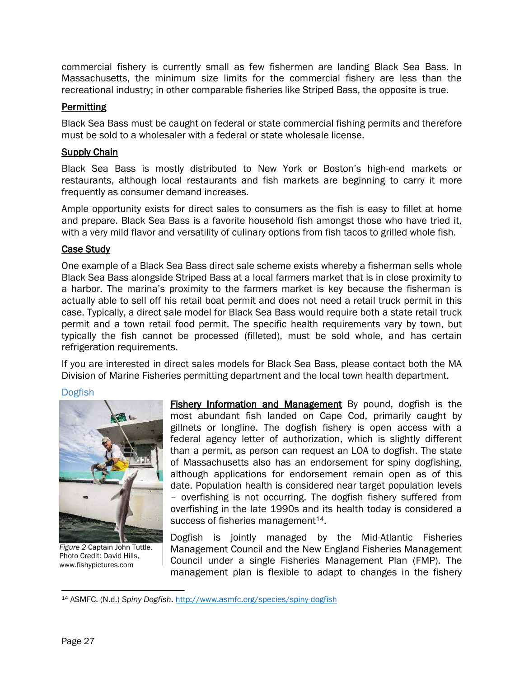commercial fishery is currently small as few fishermen are landing Black Sea Bass. In Massachusetts, the minimum size limits for the commercial fishery are less than the recreational industry; in other comparable fisheries like Striped Bass, the opposite is true.

## **Permitting**

Black Sea Bass must be caught on federal or state commercial fishing permits and therefore must be sold to a wholesaler with a federal or state wholesale license.

#### Supply Chain

Black Sea Bass is mostly distributed to New York or Boston's high-end markets or restaurants, although local restaurants and fish markets are beginning to carry it more frequently as consumer demand increases.

Ample opportunity exists for direct sales to consumers as the fish is easy to fillet at home and prepare. Black Sea Bass is a favorite household fish amongst those who have tried it, with a very mild flavor and versatility of culinary options from fish tacos to grilled whole fish.

#### Case Study

One example of a Black Sea Bass direct sale scheme exists whereby a fisherman sells whole Black Sea Bass alongside Striped Bass at a local farmers market that is in close proximity to a harbor. The marina's proximity to the farmers market is key because the fisherman is actually able to sell off his retail boat permit and does not need a retail truck permit in this case. Typically, a direct sale model for Black Sea Bass would require both a state retail truck permit and a town retail food permit. The specific health requirements vary by town, but typically the fish cannot be processed (filleted), must be sold whole, and has certain refrigeration requirements.

If you are interested in direct sales models for Black Sea Bass, please contact both the MA Division of Marine Fisheries permitting department and the local town health department.

#### Dogfish



*Figure 2* Captain John Tuttle. Photo Credit: David Hills, www.fishypictures.com

Fishery Information and Management By pound, dogfish is the most abundant fish landed on Cape Cod, primarily caught by gillnets or longline. The dogfish fishery is open access with a federal agency letter of authorization, which is slightly different than a permit, as person can request an LOA to dogfish. The state of Massachusetts also has an endorsement for spiny dogfishing, although applications for endorsement remain open as of this date. Population health is considered near target population levels – overfishing is not occurring. The dogfish fishery suffered from overfishing in the late 1990s and its health today is considered a success of fisheries management<sup>14</sup>.

Dogfish is jointly managed by the Mid-Atlantic Fisheries Management Council and the New England Fisheries Management Council under a single Fisheries Management Plan (FMP). The management plan is flexible to adapt to changes in the fishery

 $\overline{\phantom{a}}$ <sup>14</sup> ASMFC. (N.d.) *Spiny Dogfish*.<http://www.asmfc.org/species/spiny-dogfish>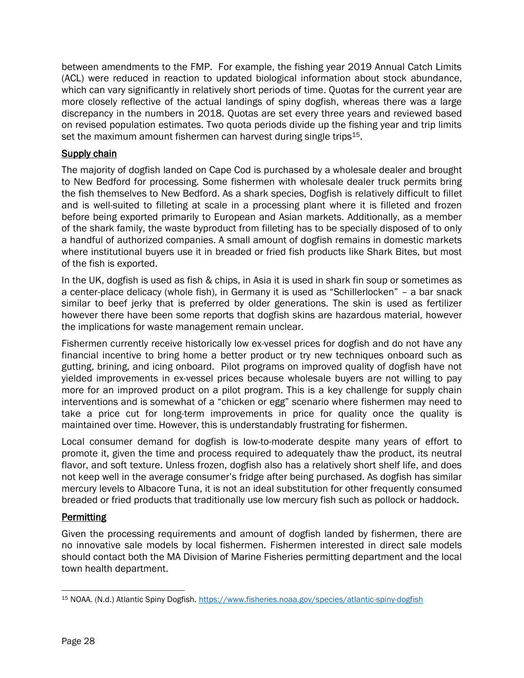between amendments to the FMP. For example, the fishing year 2019 Annual Catch Limits (ACL) were reduced in reaction to updated biological information about stock abundance, which can vary significantly in relatively short periods of time. Quotas for the current year are more closely reflective of the actual landings of spiny dogfish, whereas there was a large discrepancy in the numbers in 2018. Quotas are set every three years and reviewed based on revised population estimates. Two quota periods divide up the fishing year and trip limits set the maximum amount fishermen can harvest during single trips<sup>15</sup>.

## **Supply chain**

The majority of dogfish landed on Cape Cod is purchased by a wholesale dealer and brought to New Bedford for processing. Some fishermen with wholesale dealer truck permits bring the fish themselves to New Bedford. As a shark species, Dogfish is relatively difficult to fillet and is well-suited to filleting at scale in a processing plant where it is filleted and frozen before being exported primarily to European and Asian markets. Additionally, as a member of the shark family, the waste byproduct from filleting has to be specially disposed of to only a handful of authorized companies. A small amount of dogfish remains in domestic markets where institutional buyers use it in breaded or fried fish products like Shark Bites, but most of the fish is exported.

In the UK, dogfish is used as fish & chips, in Asia it is used in shark fin soup or sometimes as a center-place delicacy (whole fish), in Germany it is used as "Schillerlocken" – a bar snack similar to beef jerky that is preferred by older generations. The skin is used as fertilizer however there have been some reports that dogfish skins are hazardous material, however the implications for waste management remain unclear.

Fishermen currently receive historically low ex-vessel prices for dogfish and do not have any financial incentive to bring home a better product or try new techniques onboard such as gutting, brining, and icing onboard. Pilot programs on improved quality of dogfish have not yielded improvements in ex-vessel prices because wholesale buyers are not willing to pay more for an improved product on a pilot program. This is a key challenge for supply chain interventions and is somewhat of a "chicken or egg" scenario where fishermen may need to take a price cut for long-term improvements in price for quality once the quality is maintained over time. However, this is understandably frustrating for fishermen.

Local consumer demand for dogfish is low-to-moderate despite many years of effort to promote it, given the time and process required to adequately thaw the product, its neutral flavor, and soft texture. Unless frozen, dogfish also has a relatively short shelf life, and does not keep well in the average consumer's fridge after being purchased. As dogfish has similar mercury levels to Albacore Tuna, it is not an ideal substitution for other frequently consumed breaded or fried products that traditionally use low mercury fish such as pollock or haddock.

## **Permitting**

Given the processing requirements and amount of dogfish landed by fishermen, there are no innovative sale models by local fishermen. Fishermen interested in direct sale models should contact both the MA Division of Marine Fisheries permitting department and the local town health department.

 $\overline{\phantom{a}}$ <sup>15</sup> NOAA. (N.d.) Atlantic Spiny Dogfish.<https://www.fisheries.noaa.gov/species/atlantic-spiny-dogfish>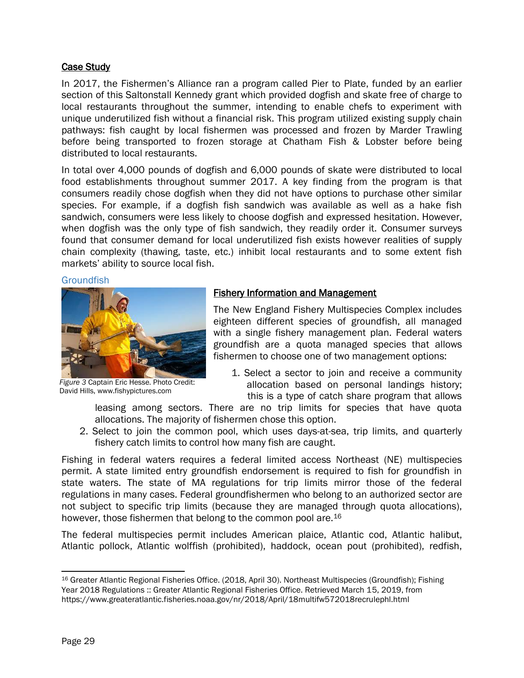#### Case Study

In 2017, the Fishermen's Alliance ran a program called Pier to Plate, funded by an earlier section of this Saltonstall Kennedy grant which provided dogfish and skate free of charge to local restaurants throughout the summer, intending to enable chefs to experiment with unique underutilized fish without a financial risk. This program utilized existing supply chain pathways: fish caught by local fishermen was processed and frozen by Marder Trawling before being transported to frozen storage at Chatham Fish & Lobster before being distributed to local restaurants.

In total over 4,000 pounds of dogfish and 6,000 pounds of skate were distributed to local food establishments throughout summer 2017. A key finding from the program is that consumers readily chose dogfish when they did not have options to purchase other similar species. For example, if a dogfish fish sandwich was available as well as a hake fish sandwich, consumers were less likely to choose dogfish and expressed hesitation. However, when dogfish was the only type of fish sandwich, they readily order it. Consumer surveys found that consumer demand for local underutilized fish exists however realities of supply chain complexity (thawing, taste, etc.) inhibit local restaurants and to some extent fish markets' ability to source local fish.

#### **Groundfish**



*Figure 3* Captain Eric Hesse. Photo Credit: David Hills, www.fishypictures.com

#### Fishery Information and Management

The New England Fishery Multispecies Complex includes eighteen different species of groundfish, all managed with a single fishery management plan. Federal waters groundfish are a quota managed species that allows fishermen to choose one of two management options:

1. Select a sector to join and receive a community allocation based on personal landings history; this is a type of catch share program that allows

leasing among sectors. There are no trip limits for species that have quota allocations. The majority of fishermen chose this option.

2. Select to join the common pool, which uses days-at-sea, trip limits, and quarterly fishery catch limits to control how many fish are caught.

Fishing in federal waters requires a federal limited access Northeast (NE) multispecies permit. A state limited entry groundfish endorsement is required to fish for groundfish in state waters. The state of MA regulations for trip limits mirror those of the federal regulations in many cases. Federal groundfishermen who belong to an authorized sector are not subject to specific trip limits (because they are managed through quota allocations), however, those fishermen that belong to the common pool are.<sup>16</sup>

The federal multispecies permit includes American plaice, Atlantic cod, Atlantic halibut, Atlantic pollock, Atlantic wolffish (prohibited), haddock, ocean pout (prohibited), redfish,

 $\overline{a}$ <sup>16</sup> Greater Atlantic Regional Fisheries Office. (2018, April 30). Northeast Multispecies (Groundfish); Fishing Year 2018 Regulations :: Greater Atlantic Regional Fisheries Office. Retrieved March 15, 2019, from https://www.greateratlantic.fisheries.noaa.gov/nr/2018/April/18multifw572018recrulephl.html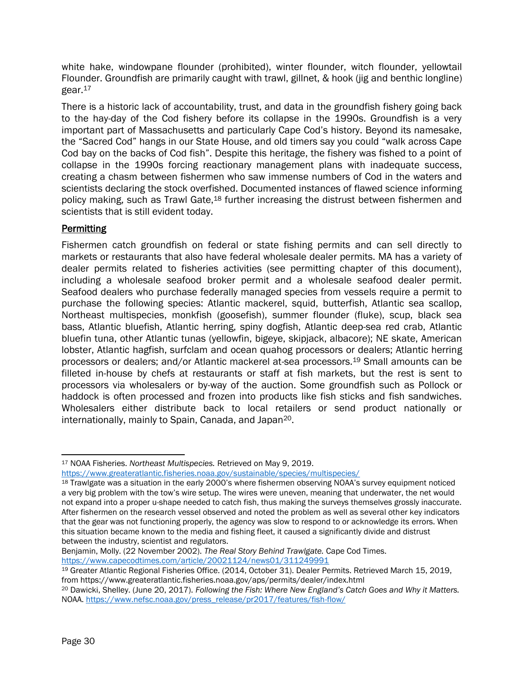white hake, windowpane flounder (prohibited), winter flounder, witch flounder, yellowtail Flounder. Groundfish are primarily caught with trawl, gillnet, & hook (jig and benthic longline) gear. 17

There is a historic lack of accountability, trust, and data in the groundfish fishery going back to the hay-day of the Cod fishery before its collapse in the 1990s. Groundfish is a very important part of Massachusetts and particularly Cape Cod's history. Beyond its namesake, the "Sacred Cod" hangs in our State House, and old timers say you could "walk across Cape Cod bay on the backs of Cod fish". Despite this heritage, the fishery was fished to a point of collapse in the 1990s forcing reactionary management plans with inadequate success, creating a chasm between fishermen who saw immense numbers of Cod in the waters and scientists declaring the stock overfished. Documented instances of flawed science informing policy making, such as Trawl Gate,<sup>18</sup> further increasing the distrust between fishermen and scientists that is still evident today.

## **Permitting**

Fishermen catch groundfish on federal or state fishing permits and can sell directly to markets or restaurants that also have federal wholesale dealer permits. MA has a variety of dealer permits related to fisheries activities (see permitting chapter of this document), including a wholesale seafood broker permit and a wholesale seafood dealer permit. Seafood dealers who purchase federally managed species from vessels require a permit to purchase the following species: Atlantic mackerel, squid, butterfish, Atlantic sea scallop, Northeast multispecies, monkfish (goosefish), summer flounder (fluke), scup, black sea bass, Atlantic bluefish, Atlantic herring, spiny dogfish, Atlantic deep-sea red crab, Atlantic bluefin tuna, other Atlantic tunas (yellowfin, bigeye, skipjack, albacore); NE skate, American lobster, Atlantic hagfish, surfclam and ocean quahog processors or dealers; Atlantic herring processors or dealers; and/or Atlantic mackerel at-sea processors.<sup>19</sup> Small amounts can be filleted in-house by chefs at restaurants or staff at fish markets, but the rest is sent to processors via wholesalers or by-way of the auction. Some groundfish such as Pollock or haddock is often processed and frozen into products like fish sticks and fish sandwiches. Wholesalers either distribute back to local retailers or send product nationally or internationally, mainly to Spain, Canada, and Japan20.

Benjamin, Molly. (22 November 2002). *The Real Story Behind Trawlgate.* Cape Cod Times. <https://www.capecodtimes.com/article/20021124/news01/311249991>

l <sup>17</sup> NOAA Fisheries. *Northeast Multispecies.* Retrieved on May 9, 2019.

<https://www.greateratlantic.fisheries.noaa.gov/sustainable/species/multispecies/>

<sup>18</sup> Trawlgate was a situation in the early 2000's where fishermen observing NOAA's survey equipment noticed a very big problem with the tow's wire setup. The wires were uneven, meaning that underwater, the net would not expand into a proper u-shape needed to catch fish, thus making the surveys themselves grossly inaccurate. After fishermen on the research vessel observed and noted the problem as well as several other key indicators that the gear was not functioning properly, the agency was slow to respond to or acknowledge its errors. When this situation became known to the media and fishing fleet, it caused a significantly divide and distrust between the industry, scientist and regulators.

<sup>19</sup> Greater Atlantic Regional Fisheries Office. (2014, October 31). Dealer Permits. Retrieved March 15, 2019, from https://www.greateratlantic.fisheries.noaa.gov/aps/permits/dealer/index.html

<sup>20</sup> Dawicki, Shelley. (June 20, 2017). *Following the Fish: Where New England's Catch Goes and Why it Matters.*  NOAA[. https://www.nefsc.noaa.gov/press\\_release/pr2017/features/fish-flow/](https://www.nefsc.noaa.gov/press_release/pr2017/features/fish-flow/)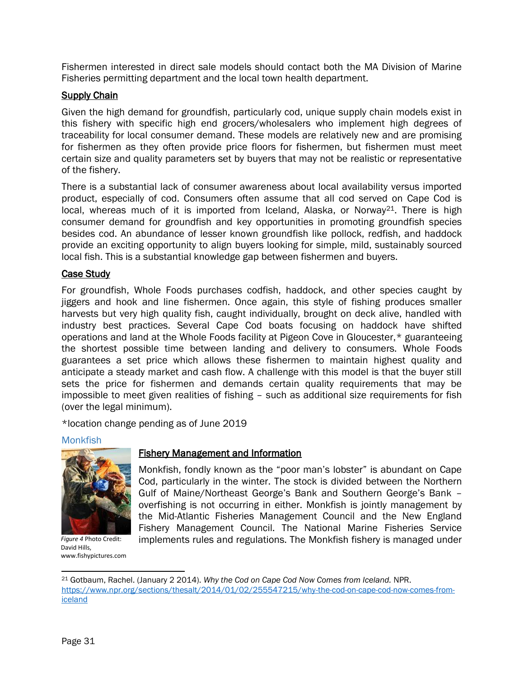Fishermen interested in direct sale models should contact both the MA Division of Marine Fisheries permitting department and the local town health department.

## **Supply Chain**

Given the high demand for groundfish, particularly cod, unique supply chain models exist in this fishery with specific high end grocers/wholesalers who implement high degrees of traceability for local consumer demand. These models are relatively new and are promising for fishermen as they often provide price floors for fishermen, but fishermen must meet certain size and quality parameters set by buyers that may not be realistic or representative of the fishery.

There is a substantial lack of consumer awareness about local availability versus imported product, especially of cod. Consumers often assume that all cod served on Cape Cod is local, whereas much of it is imported from Iceland, Alaska, or Norway<sup>21</sup>. There is high consumer demand for groundfish and key opportunities in promoting groundfish species besides cod. An abundance of lesser known groundfish like pollock, redfish, and haddock provide an exciting opportunity to align buyers looking for simple, mild, sustainably sourced local fish. This is a substantial knowledge gap between fishermen and buyers.

#### Case Study

For groundfish, Whole Foods purchases codfish, haddock, and other species caught by jiggers and hook and line fishermen. Once again, this style of fishing produces smaller harvests but very high quality fish, caught individually, brought on deck alive, handled with industry best practices. Several Cape Cod boats focusing on haddock have shifted operations and land at the Whole Foods facility at Pigeon Cove in Gloucester,\* guaranteeing the shortest possible time between landing and delivery to consumers. Whole Foods guarantees a set price which allows these fishermen to maintain highest quality and anticipate a steady market and cash flow. A challenge with this model is that the buyer still sets the price for fishermen and demands certain quality requirements that may be impossible to meet given realities of fishing – such as additional size requirements for fish (over the legal minimum).

\*location change pending as of June 2019

#### Monkfish



*Figure 4* Photo Credit: David Hills, www.fishypictures.com

#### Fishery Management and Information

Monkfish, fondly known as the "poor man's lobster" is abundant on Cape Cod, particularly in the winter. The stock is divided between the Northern Gulf of Maine/Northeast George's Bank and Southern George's Bank – overfishing is not occurring in either. Monkfish is jointly management by the Mid-Atlantic Fisheries Management Council and the New England Fishery Management Council. The National Marine Fisheries Service implements rules and regulations. The Monkfish fishery is managed under

 $\overline{a}$ 

<sup>21</sup> Gotbaum, Rachel. (January 2 2014). *Why the Cod on Cape Cod Now Comes from Iceland.* NPR. [https://www.npr.org/sections/thesalt/2014/01/02/255547215/why-the-cod-on-cape-cod-now-comes-from](https://www.npr.org/sections/thesalt/2014/01/02/255547215/why-the-cod-on-cape-cod-now-comes-from-iceland)[iceland](https://www.npr.org/sections/thesalt/2014/01/02/255547215/why-the-cod-on-cape-cod-now-comes-from-iceland)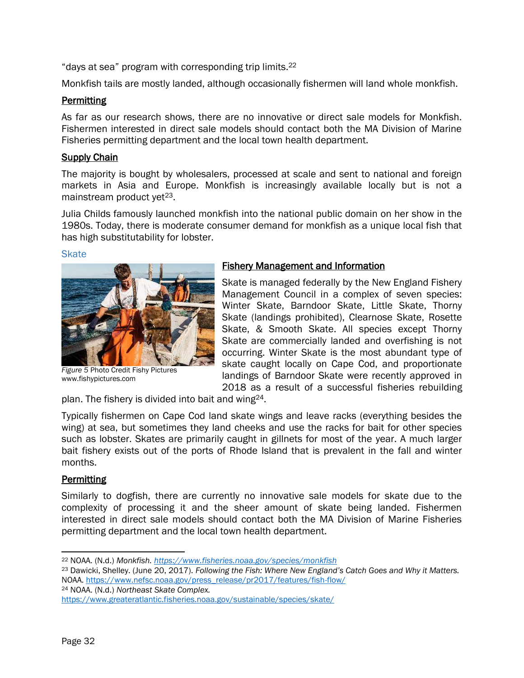"days at sea" program with corresponding trip limits. 22

Monkfish tails are mostly landed, although occasionally fishermen will land whole monkfish.

## **Permitting**

As far as our research shows, there are no innovative or direct sale models for Monkfish. Fishermen interested in direct sale models should contact both the MA Division of Marine Fisheries permitting department and the local town health department.

#### Supply Chain

The majority is bought by wholesalers, processed at scale and sent to national and foreign markets in Asia and Europe. Monkfish is increasingly available locally but is not a mainstream product yet<sup>23</sup>.

Julia Childs famously launched monkfish into the national public domain on her show in the 1980s. Today, there is moderate consumer demand for monkfish as a unique local fish that has high substitutability for lobster.

#### **Skate**



*Figure 5* Photo Credit Fishy Pictures www.fishypictures.com

#### Fishery Management and Information

Skate is managed federally by the New England Fishery Management Council in a complex of seven species: Winter Skate, Barndoor Skate, Little Skate, Thorny Skate (landings prohibited), Clearnose Skate, Rosette Skate, & Smooth Skate. All species except Thorny Skate are commercially landed and overfishing is not occurring. Winter Skate is the most abundant type of skate caught locally on Cape Cod, and proportionate landings of Barndoor Skate were recently approved in 2018 as a result of a successful fisheries rebuilding

plan. The fishery is divided into bait and wing24.

Typically fishermen on Cape Cod land skate wings and leave racks (everything besides the wing) at sea, but sometimes they land cheeks and use the racks for bait for other species such as lobster. Skates are primarily caught in gillnets for most of the year. A much larger bait fishery exists out of the ports of Rhode Island that is prevalent in the fall and winter months.

## **Permitting**

Similarly to dogfish, there are currently no innovative sale models for skate due to the complexity of processing it and the sheer amount of skate being landed. Fishermen interested in direct sale models should contact both the MA Division of Marine Fisheries permitting department and the local town health department.

<sup>24</sup> NOAA. (N.d.) *Northeast Skate Complex.* 

 $\overline{\phantom{a}}$ <sup>22</sup> NOAA. (N.d.) *Monkfish.<https://www.fisheries.noaa.gov/species/monkfish>*

<sup>23</sup> Dawicki, Shelley. (June 20, 2017). *Following the Fish: Where New England's Catch Goes and Why it Matters.*  NOAA[. https://www.nefsc.noaa.gov/press\\_release/pr2017/features/fish-flow/](https://www.nefsc.noaa.gov/press_release/pr2017/features/fish-flow/)

<https://www.greateratlantic.fisheries.noaa.gov/sustainable/species/skate/>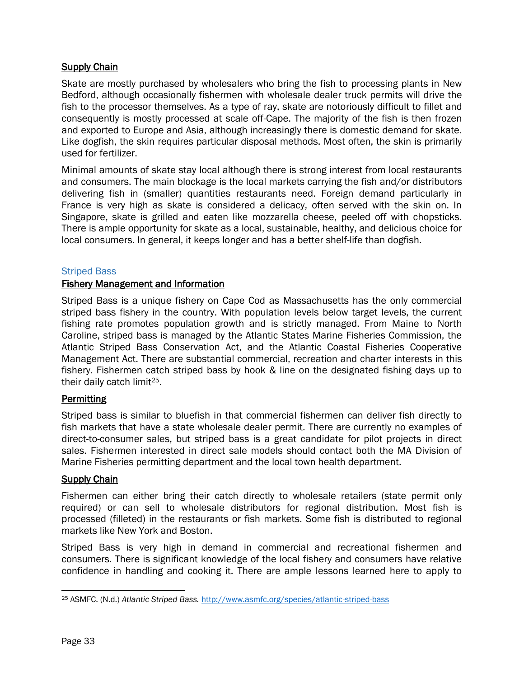## **Supply Chain**

Skate are mostly purchased by wholesalers who bring the fish to processing plants in New Bedford, although occasionally fishermen with wholesale dealer truck permits will drive the fish to the processor themselves. As a type of ray, skate are notoriously difficult to fillet and consequently is mostly processed at scale off-Cape. The majority of the fish is then frozen and exported to Europe and Asia, although increasingly there is domestic demand for skate. Like dogfish, the skin requires particular disposal methods. Most often, the skin is primarily used for fertilizer.

Minimal amounts of skate stay local although there is strong interest from local restaurants and consumers. The main blockage is the local markets carrying the fish and/or distributors delivering fish in (smaller) quantities restaurants need. Foreign demand particularly in France is very high as skate is considered a delicacy, often served with the skin on. In Singapore, skate is grilled and eaten like mozzarella cheese, peeled off with chopsticks. There is ample opportunity for skate as a local, sustainable, healthy, and delicious choice for local consumers. In general, it keeps longer and has a better shelf-life than dogfish.

#### Striped Bass

#### Fishery Management and Information

Striped Bass is a unique fishery on Cape Cod as Massachusetts has the only commercial striped bass fishery in the country. With population levels below target levels, the current fishing rate promotes population growth and is strictly managed. From Maine to North Caroline, striped bass is managed by the Atlantic States Marine Fisheries Commission, the Atlantic Striped Bass Conservation Act, and the Atlantic Coastal Fisheries Cooperative Management Act. There are substantial commercial, recreation and charter interests in this fishery. Fishermen catch striped bass by hook & line on the designated fishing days up to their daily catch limit25.

## **Permitting**

Striped bass is similar to bluefish in that commercial fishermen can deliver fish directly to fish markets that have a state wholesale dealer permit. There are currently no examples of direct-to-consumer sales, but striped bass is a great candidate for pilot projects in direct sales. Fishermen interested in direct sale models should contact both the MA Division of Marine Fisheries permitting department and the local town health department.

#### **Supply Chain**

Fishermen can either bring their catch directly to wholesale retailers (state permit only required) or can sell to wholesale distributors for regional distribution. Most fish is processed (filleted) in the restaurants or fish markets. Some fish is distributed to regional markets like New York and Boston.

Striped Bass is very high in demand in commercial and recreational fishermen and consumers. There is significant knowledge of the local fishery and consumers have relative confidence in handling and cooking it. There are ample lessons learned here to apply to

 $\overline{\phantom{a}}$ <sup>25</sup> ASMFC. (N.d.) *Atlantic Striped Bass.* <http://www.asmfc.org/species/atlantic-striped-bass>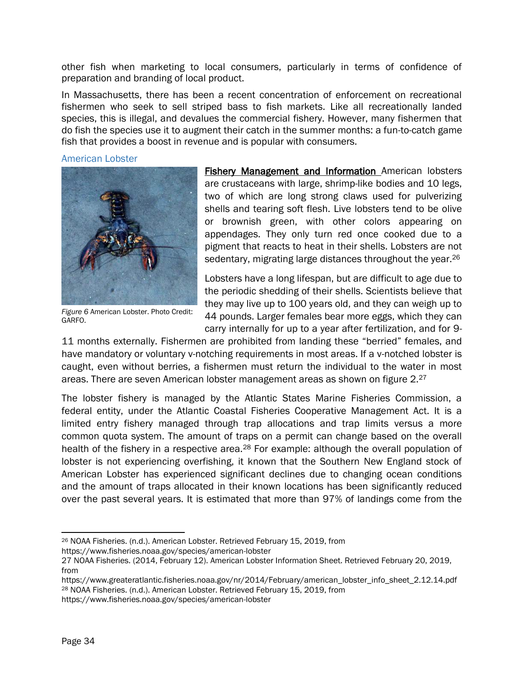other fish when marketing to local consumers, particularly in terms of confidence of preparation and branding of local product.

In Massachusetts, there has been a recent concentration of enforcement on recreational fishermen who seek to sell striped bass to fish markets. Like all recreationally landed species, this is illegal, and devalues the commercial fishery. However, many fishermen that do fish the species use it to augment their catch in the summer months: a fun-to-catch game fish that provides a boost in revenue and is popular with consumers.

American Lobster



*Figure 6* American Lobster. Photo Credit: GARFO.

Fishery Management and Information American lobsters are crustaceans with large, shrimp-like bodies and 10 legs, two of which are long strong claws used for pulverizing shells and tearing soft flesh. Live lobsters tend to be olive or brownish green, with other colors appearing on appendages. They only turn red once cooked due to a pigment that reacts to heat in their shells. Lobsters are not sedentary, migrating large distances throughout the year.<sup>26</sup>

Lobsters have a long lifespan, but are difficult to age due to the periodic shedding of their shells. Scientists believe that they may live up to 100 years old, and they can weigh up to 44 pounds. Larger females bear more eggs, which they can carry internally for up to a year after fertilization, and for 9-

11 months externally. Fishermen are prohibited from landing these "berried" females, and have mandatory or voluntary v-notching requirements in most areas. If a v-notched lobster is caught, even without berries, a fishermen must return the individual to the water in most areas. There are seven American lobster management areas as shown on figure 2.<sup>27</sup>

The lobster fishery is managed by the Atlantic States Marine Fisheries Commission, a federal entity, under the Atlantic Coastal Fisheries Cooperative Management Act. It is a limited entry fishery managed through trap allocations and trap limits versus a more common quota system. The amount of traps on a permit can change based on the overall health of the fishery in a respective area.<sup>28</sup> For example: although the overall population of lobster is not experiencing overfishing, it known that the Southern New England stock of American Lobster has experienced significant declines due to changing ocean conditions and the amount of traps allocated in their known locations has been significantly reduced over the past several years. It is estimated that more than 97% of landings come from the

https://www.fisheries.noaa.gov/species/american-lobster

l <sup>26</sup> NOAA Fisheries. (n.d.). American Lobster. Retrieved February 15, 2019, from

<sup>27</sup> NOAA Fisheries. (2014, February 12). American Lobster Information Sheet. Retrieved February 20, 2019, from

https://www.greateratlantic.fisheries.noaa.gov/nr/2014/February/american\_lobster\_info\_sheet\_2.12.14.pdf <sup>28</sup> NOAA Fisheries. (n.d.). American Lobster. Retrieved February 15, 2019, from

https://www.fisheries.noaa.gov/species/american-lobster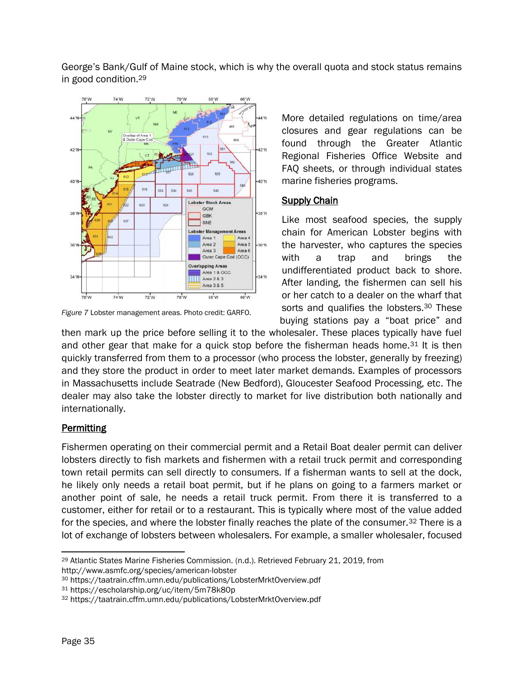George's Bank/Gulf of Maine stock, which is why the overall quota and stock status remains in good condition.<sup>29</sup>



*Figure 7* Lobster management areas. Photo credit: GARFO.

More detailed regulations on time/area closures and gear regulations can be found through the Greater Atlantic Regional Fisheries Office Website and FAQ sheets, or through individual states marine fisheries programs.

#### **Supply Chain**

Like most seafood species, the supply chain for American Lobster begins with the harvester, who captures the species with a trap and brings the undifferentiated product back to shore. After landing, the fishermen can sell his or her catch to a dealer on the wharf that sorts and qualifies the lobsters.<sup>30</sup> These buying stations pay a "boat price" and

then mark up the price before selling it to the wholesaler. These places typically have fuel and other gear that make for a quick stop before the fisherman heads home.<sup>31</sup> It is then quickly transferred from them to a processor (who process the lobster, generally by freezing) and they store the product in order to meet later market demands. Examples of processors in Massachusetts include Seatrade (New Bedford), Gloucester Seafood Processing, etc. The dealer may also take the lobster directly to market for live distribution both nationally and internationally.

## **Permitting**

Fishermen operating on their commercial permit and a Retail Boat dealer permit can deliver lobsters directly to fish markets and fishermen with a retail truck permit and corresponding town retail permits can sell directly to consumers. If a fisherman wants to sell at the dock, he likely only needs a retail boat permit, but if he plans on going to a farmers market or another point of sale, he needs a retail truck permit. From there it is transferred to a customer, either for retail or to a restaurant. This is typically where most of the value added for the species, and where the lobster finally reaches the plate of the consumer.<sup>32</sup> There is a lot of exchange of lobsters between wholesalers. For example, a smaller wholesaler, focused

 $\overline{\phantom{a}}$ <sup>29</sup> Atlantic States Marine Fisheries Commission. (n.d.). Retrieved February 21, 2019, from http://www.asmfc.org/species/american-lobster

<sup>30</sup> https://taatrain.cffm.umn.edu/publications/LobsterMrktOverview.pdf

<sup>31</sup> https://escholarship.org/uc/item/5m78k80p

<sup>32</sup> https://taatrain.cffm.umn.edu/publications/LobsterMrktOverview.pdf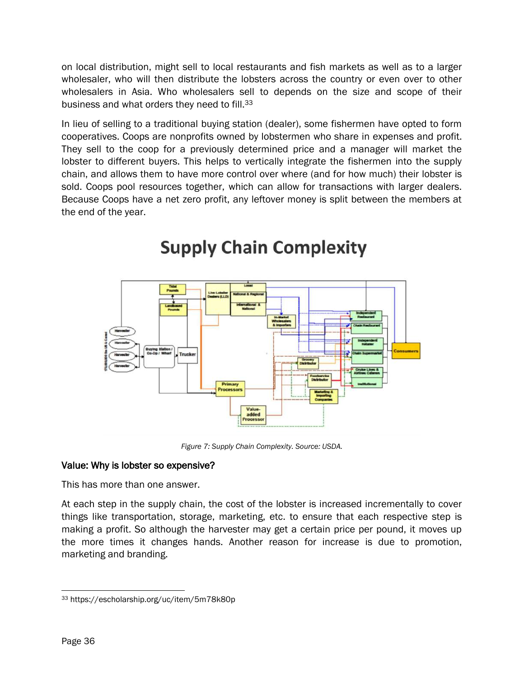on local distribution, might sell to local restaurants and fish markets as well as to a larger wholesaler, who will then distribute the lobsters across the country or even over to other wholesalers in Asia. Who wholesalers sell to depends on the size and scope of their business and what orders they need to fill.<sup>33</sup>

In lieu of selling to a traditional buying station (dealer), some fishermen have opted to form cooperatives. Coops are nonprofits owned by lobstermen who share in expenses and profit. They sell to the coop for a previously determined price and a manager will market the lobster to different buyers. This helps to vertically integrate the fishermen into the supply chain, and allows them to have more control over where (and for how much) their lobster is sold. Coops pool resources together, which can allow for transactions with larger dealers. Because Coops have a net zero profit, any leftover money is split between the members at the end of the year.



## **Supply Chain Complexity**

*Figure 7: Supply Chain Complexity. Source: USDA.*

## Value: Why is lobster so expensive?

This has more than one answer.

At each step in the supply chain, the cost of the lobster is increased incrementally to cover things like transportation, storage, marketing, etc. to ensure that each respective step is making a profit. So although the harvester may get a certain price per pound, it moves up the more times it changes hands. Another reason for increase is due to promotion, marketing and branding.

 $\overline{\phantom{a}}$ <sup>33</sup> https://escholarship.org/uc/item/5m78k80p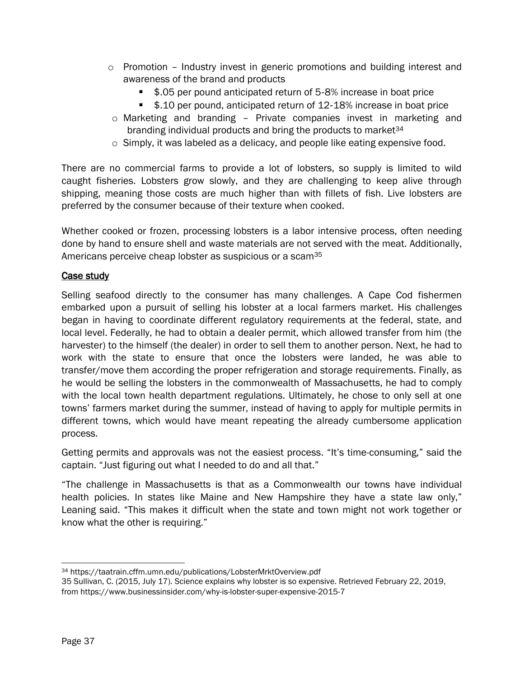- $\circ$  Promotion Industry invest in generic promotions and building interest and awareness of the brand and products
	- \$.05 per pound anticipated return of 5‐8% increase in boat price
	- \$.10 per pound, anticipated return of 12-18% increase in boat price
- o Marketing and branding Private companies invest in marketing and branding individual products and bring the products to market<sup>34</sup>
- o Simply, it was labeled as a delicacy, and people like eating expensive food.

There are no commercial farms to provide a lot of lobsters, so supply is limited to wild caught fisheries. Lobsters grow slowly, and they are challenging to keep alive through shipping, meaning those costs are much higher than with fillets of fish. Live lobsters are preferred by the consumer because of their texture when cooked.

Whether cooked or frozen, processing lobsters is a labor intensive process, often needing done by hand to ensure shell and waste materials are not served with the meat. Additionally, Americans perceive cheap lobster as suspicious or a scam<sup>35</sup>

#### Case study

Selling seafood directly to the consumer has many challenges. A Cape Cod fishermen embarked upon a pursuit of selling his lobster at a local farmers market. His challenges began in having to coordinate different regulatory requirements at the federal, state, and local level. Federally, he had to obtain a dealer permit, which allowed transfer from him (the harvester) to the himself (the dealer) in order to sell them to another person. Next, he had to work with the state to ensure that once the lobsters were landed, he was able to transfer/move them according the proper refrigeration and storage requirements. Finally, as he would be selling the lobsters in the commonwealth of Massachusetts, he had to comply with the local town health department regulations. Ultimately, he chose to only sell at one towns' farmers market during the summer, instead of having to apply for multiple permits in different towns, which would have meant repeating the already cumbersome application process.

Getting permits and approvals was not the easiest process. "It's time-consuming," said the captain. "Just figuring out what I needed to do and all that."

"The challenge in Massachusetts is that as a Commonwealth our towns have individual health policies. In states like Maine and New Hampshire they have a state law only," Leaning said. "This makes it difficult when the state and town might not work together or know what the other is requiring."

 $\overline{\phantom{a}}$ <sup>34</sup> https://taatrain.cffm.umn.edu/publications/LobsterMrktOverview.pdf

<sup>35</sup> Sullivan, C. (2015, July 17). Science explains why lobster is so expensive. Retrieved February 22, 2019, from https://www.businessinsider.com/why-is-lobster-super-expensive-2015-7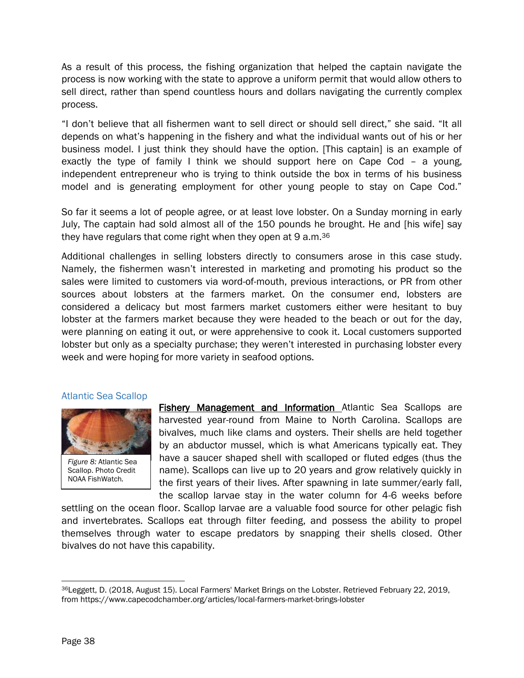As a result of this process, the fishing organization that helped the captain navigate the process is now working with the state to approve a uniform permit that would allow others to sell direct, rather than spend countless hours and dollars navigating the currently complex process.

"I don't believe that all fishermen want to sell direct or should sell direct," she said. "It all depends on what's happening in the fishery and what the individual wants out of his or her business model. I just think they should have the option. [This captain] is an example of exactly the type of family I think we should support here on Cape Cod – a young, independent entrepreneur who is trying to think outside the box in terms of his business model and is generating employment for other young people to stay on Cape Cod."

So far it seems a lot of people agree, or at least love lobster. On a Sunday morning in early July, The captain had sold almost all of the 150 pounds he brought. He and [his wife] say they have regulars that come right when they open at 9 a.m.<sup>36</sup>

Additional challenges in selling lobsters directly to consumers arose in this case study. Namely, the fishermen wasn't interested in marketing and promoting his product so the sales were limited to customers via word-of-mouth, previous interactions, or PR from other sources about lobsters at the farmers market. On the consumer end, lobsters are considered a delicacy but most farmers market customers either were hesitant to buy lobster at the farmers market because they were headed to the beach or out for the day, were planning on eating it out, or were apprehensive to cook it. Local customers supported lobster but only as a specialty purchase; they weren't interested in purchasing lobster every week and were hoping for more variety in seafood options.

#### Atlantic Sea Scallop



*Figure 8:* Atlantic Sea Scallop. Photo Credit NOAA FishWatch*.* 

**Fishery Management and Information Atlantic Sea Scallops are** harvested year-round from Maine to North Carolina. Scallops are bivalves, much like clams and oysters. Their shells are held together by an abductor mussel, which is what Americans typically eat. They have a saucer shaped shell with scalloped or fluted edges (thus the name). Scallops can live up to 20 years and grow relatively quickly in the first years of their lives. After spawning in late summer/early fall, the scallop larvae stay in the water column for 4-6 weeks before

settling on the ocean floor. Scallop larvae are a valuable food source for other pelagic fish and invertebrates. Scallops eat through filter feeding, and possess the ability to propel themselves through water to escape predators by snapping their shells closed. Other bivalves do not have this capability.

l <sup>36</sup>Leggett, D. (2018, August 15). Local Farmers' Market Brings on the Lobster. Retrieved February 22, 2019, from https://www.capecodchamber.org/articles/local-farmers-market-brings-lobster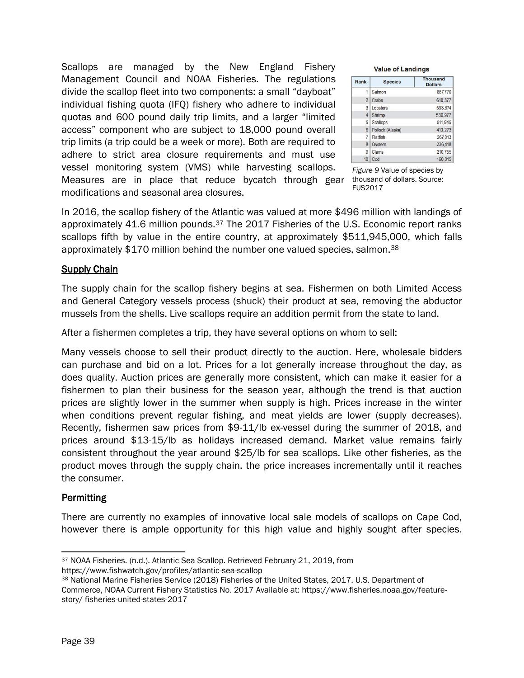Scallops are managed by the New England Fishery Management Council and NOAA Fisheries. The regulations divide the scallop fleet into two components: a small "dayboat" individual fishing quota (IFQ) fishery who adhere to individual quotas and 600 pound daily trip limits, and a larger "limited access" component who are subject to 18,000 pound overall trip limits (a trip could be a week or more). Both are required to adhere to strict area closure requirements and must use vessel monitoring system (VMS) while harvesting scallops. Measures are in place that reduce bycatch through gear thousand of dollars. Source: modifications and seasonal area closures.

| <b>Value of Landings</b> |                |                                   |  |  |
|--------------------------|----------------|-----------------------------------|--|--|
|                          | <b>Species</b> | <b>Thousand</b><br><b>Dollars</b> |  |  |
|                          |                | 0.077777                          |  |  |

| Rank           | <b>Species</b>   | <b>Thousand</b><br><b>Dollars</b> |
|----------------|------------------|-----------------------------------|
| 1              | Salmon           | 687,770                           |
| $\overline{2}$ | Crabs            | 610,377                           |
| 3              | Lobsters         | 593,874                           |
| 4              | Shrimp           | 530,977                           |
| 5              | Scallops         | 511,945                           |
| 6              | Pollock (Alaska) | 413,273                           |
| 7              | Flatfish         | 267.013                           |
| 8              | Oysters          | 236,418                           |
| 9              | Clams            | 210,755                           |
| 10             | Cod              | 160,815                           |

*Figure 9* Value of species by FUS2017

In 2016, the scallop fishery of the Atlantic was valued at more \$496 million with landings of approximately 41.6 million pounds.<sup>37</sup> The 2017 Fisheries of the U.S. Economic report ranks scallops fifth by value in the entire country, at approximately \$511,945,000, which falls approximately \$170 million behind the number one valued species, salmon.<sup>38</sup>

## **Supply Chain**

The supply chain for the scallop fishery begins at sea. Fishermen on both Limited Access and General Category vessels process (shuck) their product at sea, removing the abductor mussels from the shells. Live scallops require an addition permit from the state to land.

After a fishermen completes a trip, they have several options on whom to sell:

Many vessels choose to sell their product directly to the auction. Here, wholesale bidders can purchase and bid on a lot. Prices for a lot generally increase throughout the day, as does quality. Auction prices are generally more consistent, which can make it easier for a fishermen to plan their business for the season year, although the trend is that auction prices are slightly lower in the summer when supply is high. Prices increase in the winter when conditions prevent regular fishing, and meat yields are lower (supply decreases). Recently, fishermen saw prices from \$9-11/lb ex-vessel during the summer of 2018, and prices around \$13-15/lb as holidays increased demand. Market value remains fairly consistent throughout the year around \$25/lb for sea scallops. Like other fisheries, as the product moves through the supply chain, the price increases incrementally until it reaches the consumer.

## **Permitting**

There are currently no examples of innovative local sale models of scallops on Cape Cod, however there is ample opportunity for this high value and highly sought after species.

 $\overline{\phantom{a}}$ <sup>37</sup> NOAA Fisheries. (n.d.). Atlantic Sea Scallop. Retrieved February 21, 2019, from https://www.fishwatch.gov/profiles/atlantic-sea-scallop

<sup>38</sup> National Marine Fisheries Service (2018) Fisheries of the United States, 2017. U.S. Department of Commerce, NOAA Current Fishery Statistics No. 2017 Available at: https://www.fisheries.noaa.gov/featurestory/ fisheries-united-states-2017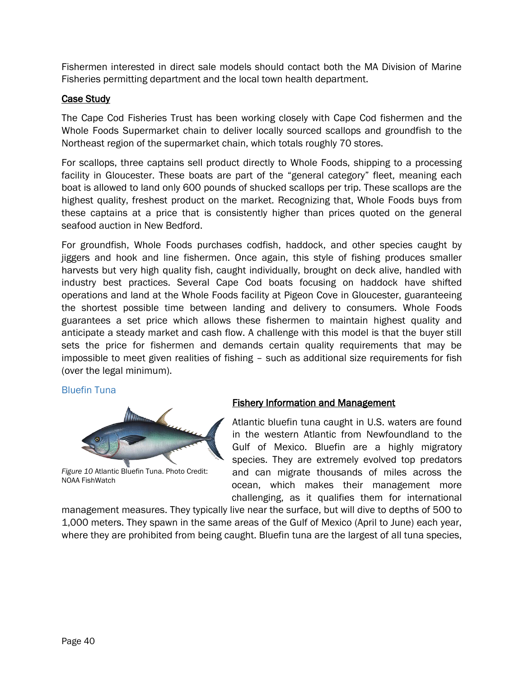Fishermen interested in direct sale models should contact both the MA Division of Marine Fisheries permitting department and the local town health department.

## Case Study

The Cape Cod Fisheries Trust has been working closely with Cape Cod fishermen and the Whole Foods Supermarket chain to deliver locally sourced scallops and groundfish to the Northeast region of the supermarket chain, which totals roughly 70 stores.

For scallops, three captains sell product directly to Whole Foods, shipping to a processing facility in Gloucester. These boats are part of the "general category" fleet, meaning each boat is allowed to land only 600 pounds of shucked scallops per trip. These scallops are the highest quality, freshest product on the market. Recognizing that, Whole Foods buys from these captains at a price that is consistently higher than prices quoted on the general seafood auction in New Bedford.

For groundfish, Whole Foods purchases codfish, haddock, and other species caught by jiggers and hook and line fishermen. Once again, this style of fishing produces smaller harvests but very high quality fish, caught individually, brought on deck alive, handled with industry best practices. Several Cape Cod boats focusing on haddock have shifted operations and land at the Whole Foods facility at Pigeon Cove in Gloucester, guaranteeing the shortest possible time between landing and delivery to consumers. Whole Foods guarantees a set price which allows these fishermen to maintain highest quality and anticipate a steady market and cash flow. A challenge with this model is that the buyer still sets the price for fishermen and demands certain quality requirements that may be impossible to meet given realities of fishing – such as additional size requirements for fish (over the legal minimum).

## Bluefin Tuna



*Figure 10* Atlantic Bluefin Tuna. Photo Credit: NOAA FishWatch

## Fishery Information and Management

Atlantic bluefin tuna caught in U.S. waters are found in the western Atlantic from Newfoundland to the Gulf of Mexico. Bluefin are a highly migratory species. They are extremely evolved top predators and can migrate thousands of miles across the ocean, which makes their management more challenging, as it qualifies them for international

management measures. They typically live near the surface, but will dive to depths of 500 to 1,000 meters. They spawn in the same areas of the Gulf of Mexico (April to June) each year, where they are prohibited from being caught. Bluefin tuna are the largest of all tuna species,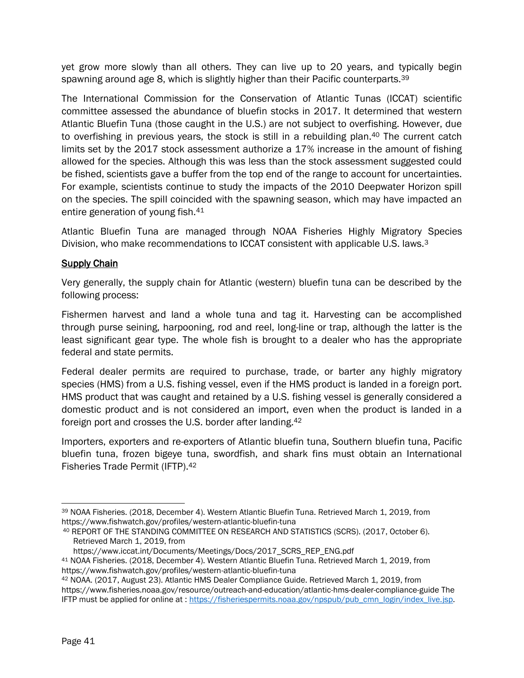yet grow more slowly than all others. They can live up to 20 years, and typically begin spawning around age 8, which is slightly higher than their Pacific counterparts.<sup>39</sup>

The International Commission for the Conservation of Atlantic Tunas (ICCAT) scientific committee assessed the abundance of bluefin stocks in 2017. It determined that western Atlantic Bluefin Tuna (those caught in the U.S.) are not subject to overfishing. However, due to overfishing in previous years, the stock is still in a rebuilding plan.<sup>40</sup> The current catch limits set by the 2017 stock assessment authorize a 17% increase in the amount of fishing allowed for the species. Although this was less than the stock assessment suggested could be fished, scientists gave a buffer from the top end of the range to account for uncertainties. For example, scientists continue to study the impacts of the 2010 Deepwater Horizon spill on the species. The spill coincided with the spawning season, which may have impacted an entire generation of young fish.<sup>41</sup>

Atlantic Bluefin Tuna are managed through NOAA Fisheries Highly Migratory Species Division, who make recommendations to ICCAT consistent with applicable U.S. laws.<sup>3</sup>

## **Supply Chain**

Very generally, the supply chain for Atlantic (western) bluefin tuna can be described by the following process:

Fishermen harvest and land a whole tuna and tag it. Harvesting can be accomplished through purse seining, harpooning, rod and reel, long-line or trap, although the latter is the least significant gear type. The whole fish is brought to a dealer who has the appropriate federal and state permits.

Federal dealer permits are required to purchase, trade, or barter any highly migratory species (HMS) from a U.S. fishing vessel, even if the HMS product is landed in a foreign port. HMS product that was caught and retained by a U.S. fishing vessel is generally considered a domestic product and is not considered an import, even when the product is landed in a foreign port and crosses the U.S. border after landing.<sup>42</sup>

Importers, exporters and re-exporters of Atlantic bluefin tuna, Southern bluefin tuna, Pacific bluefin tuna, frozen bigeye tuna, swordfish, and shark fins must obtain an International Fisheries Trade Permit (IFTP).<sup>42</sup>

l <sup>39</sup> NOAA Fisheries. (2018, December 4). Western Atlantic Bluefin Tuna. Retrieved March 1, 2019, from https://www.fishwatch.gov/profiles/western-atlantic-bluefin-tuna

<sup>40</sup> REPORT OF THE STANDING COMMITTEE ON RESEARCH AND STATISTICS (SCRS). (2017, October 6). Retrieved March 1, 2019, from

https://www.iccat.int/Documents/Meetings/Docs/2017\_SCRS\_REP\_ENG.pdf

<sup>41</sup> NOAA Fisheries. (2018, December 4). Western Atlantic Bluefin Tuna. Retrieved March 1, 2019, from https://www.fishwatch.gov/profiles/western-atlantic-bluefin-tuna

<sup>42</sup> NOAA. (2017, August 23). Atlantic HMS Dealer Compliance Guide. Retrieved March 1, 2019, from https://www.fisheries.noaa.gov/resource/outreach-and-education/atlantic-hms-dealer-compliance-guide The IFTP must be applied for online at : [https://fisheriespermits.noaa.gov/npspub/pub\\_cmn\\_login/index\\_live.jsp.](https://fisheriespermits.noaa.gov/npspub/pub_cmn_login/index_live.jsp)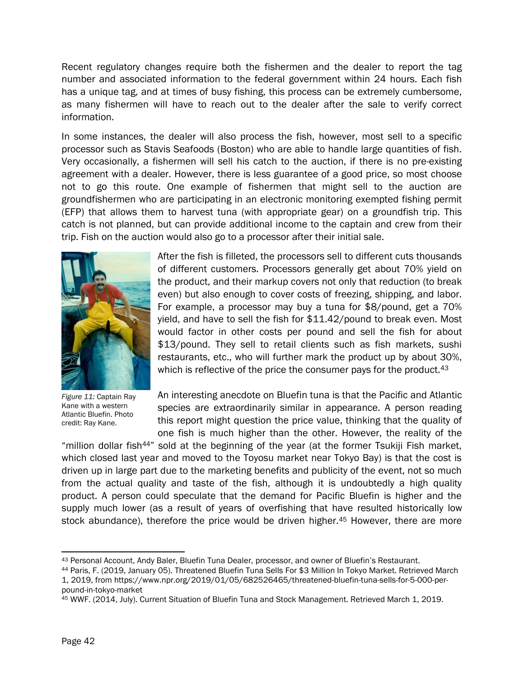Recent regulatory changes require both the fishermen and the dealer to report the tag number and associated information to the federal government within 24 hours. Each fish has a unique tag, and at times of busy fishing, this process can be extremely cumbersome, as many fishermen will have to reach out to the dealer after the sale to verify correct information.

In some instances, the dealer will also process the fish, however, most sell to a specific processor such as Stavis Seafoods (Boston) who are able to handle large quantities of fish. Very occasionally, a fishermen will sell his catch to the auction, if there is no pre-existing agreement with a dealer. However, there is less guarantee of a good price, so most choose not to go this route. One example of fishermen that might sell to the auction are groundfishermen who are participating in an electronic monitoring exempted fishing permit (EFP) that allows them to harvest tuna (with appropriate gear) on a groundfish trip. This catch is not planned, but can provide additional income to the captain and crew from their trip. Fish on the auction would also go to a processor after their initial sale.



*Figure 11:* Captain Ray Kane with a western Atlantic Bluefin. Photo credit: Ray Kane.

After the fish is filleted, the processors sell to different cuts thousands of different customers. Processors generally get about 70% yield on the product, and their markup covers not only that reduction (to break even) but also enough to cover costs of freezing, shipping, and labor. For example, a processor may buy a tuna for \$8/pound, get a 70% yield, and have to sell the fish for \$11.42/pound to break even. Most would factor in other costs per pound and sell the fish for about \$13/pound. They sell to retail clients such as fish markets, sushi restaurants, etc., who will further mark the product up by about 30%, which is reflective of the price the consumer pays for the product.<sup>43</sup>

An interesting anecdote on Bluefin tuna is that the Pacific and Atlantic species are extraordinarily similar in appearance. A person reading this report might question the price value, thinking that the quality of one fish is much higher than the other. However, the reality of the

"million dollar fish<sup>44"</sup> sold at the beginning of the year (at the former Tsukiji Fish market, which closed last year and moved to the Toyosu market near Tokyo Bay) is that the cost is driven up in large part due to the marketing benefits and publicity of the event, not so much from the actual quality and taste of the fish, although it is undoubtedly a high quality product. A person could speculate that the demand for Pacific Bluefin is higher and the supply much lower (as a result of years of overfishing that have resulted historically low stock abundance), therefore the price would be driven higher.<sup>45</sup> However, there are more

 $\overline{\phantom{a}}$ <sup>43</sup> Personal Account, Andy Baler, Bluefin Tuna Dealer, processor, and owner of Bluefin's Restaurant.

<sup>44</sup> Paris, F. (2019, January 05). Threatened Bluefin Tuna Sells For \$3 Million In Tokyo Market. Retrieved March 1, 2019, from https://www.npr.org/2019/01/05/682526465/threatened-bluefin-tuna-sells-for-5-000-perpound-in-tokyo-market

<sup>45</sup> WWF. (2014, July). Current Situation of Bluefin Tuna and Stock Management. Retrieved March 1, 2019.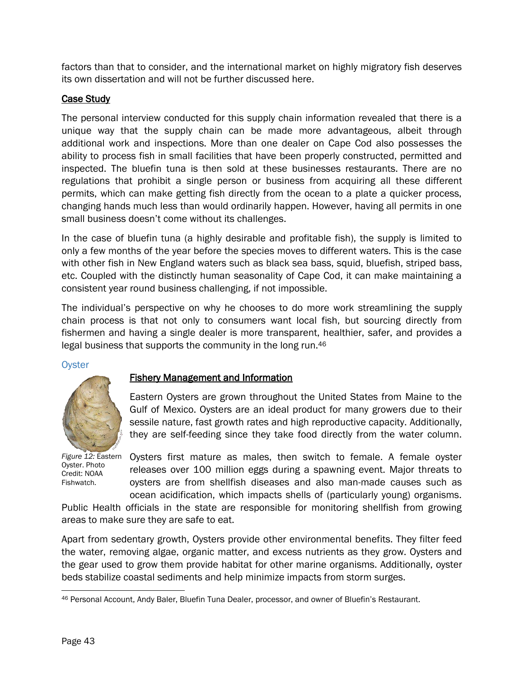factors than that to consider, and the international market on highly migratory fish deserves its own dissertation and will not be further discussed here.

## Case Study

The personal interview conducted for this supply chain information revealed that there is a unique way that the supply chain can be made more advantageous, albeit through additional work and inspections. More than one dealer on Cape Cod also possesses the ability to process fish in small facilities that have been properly constructed, permitted and inspected. The bluefin tuna is then sold at these businesses restaurants. There are no regulations that prohibit a single person or business from acquiring all these different permits, which can make getting fish directly from the ocean to a plate a quicker process, changing hands much less than would ordinarily happen. However, having all permits in one small business doesn't come without its challenges.

In the case of bluefin tuna (a highly desirable and profitable fish), the supply is limited to only a few months of the year before the species moves to different waters. This is the case with other fish in New England waters such as black sea bass, squid, bluefish, striped bass, etc. Coupled with the distinctly human seasonality of Cape Cod, it can make maintaining a consistent year round business challenging, if not impossible.

The individual's perspective on why he chooses to do more work streamlining the supply chain process is that not only to consumers want local fish, but sourcing directly from fishermen and having a single dealer is more transparent, healthier, safer, and provides a legal business that supports the community in the long run.<sup>46</sup>

**Oyster** 



Oyster. Photo Credit: NOAA Fishwatch.

## Fishery Management and Information

Eastern Oysters are grown throughout the United States from Maine to the Gulf of Mexico. Oysters are an ideal product for many growers due to their sessile nature, fast growth rates and high reproductive capacity. Additionally, they are self-feeding since they take food directly from the water column.

Figure 12: Eastern Oysters first mature as males, then switch to female. A female oyster releases over 100 million eggs during a spawning event. Major threats to oysters are from shellfish diseases and also man-made causes such as ocean acidification, which impacts shells of (particularly young) organisms.

Public Health officials in the state are responsible for monitoring shellfish from growing areas to make sure they are safe to eat.

Apart from sedentary growth, Oysters provide other environmental benefits. They filter feed the water, removing algae, organic matter, and excess nutrients as they grow. Oysters and the gear used to grow them provide habitat for other marine organisms. Additionally, oyster beds stabilize coastal sediments and help minimize impacts from storm surges.

 $\overline{\phantom{a}}$ <sup>46</sup> Personal Account, Andy Baler, Bluefin Tuna Dealer, processor, and owner of Bluefin's Restaurant.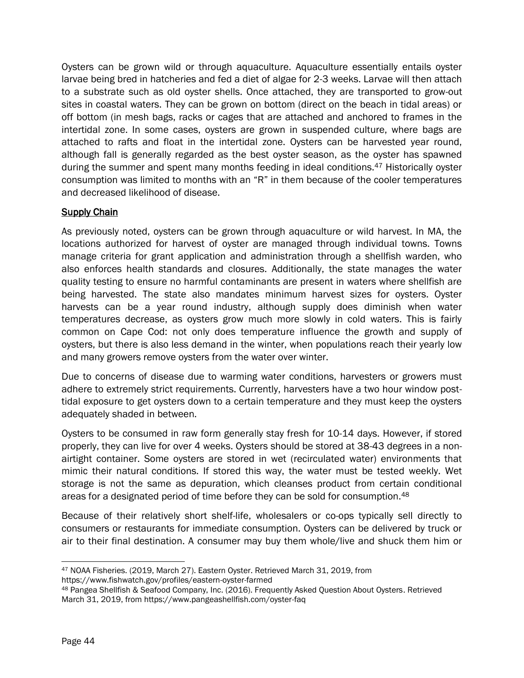Oysters can be grown wild or through aquaculture. Aquaculture essentially entails oyster larvae being bred in hatcheries and fed a diet of algae for 2-3 weeks. Larvae will then attach to a substrate such as old oyster shells. Once attached, they are transported to grow-out sites in coastal waters. They can be grown on bottom (direct on the beach in tidal areas) or off bottom (in mesh bags, racks or cages that are attached and anchored to frames in the intertidal zone. In some cases, oysters are grown in suspended culture, where bags are attached to rafts and float in the intertidal zone. Oysters can be harvested year round, although fall is generally regarded as the best oyster season, as the oyster has spawned during the summer and spent many months feeding in ideal conditions.<sup>47</sup> Historically oyster consumption was limited to months with an "R" in them because of the cooler temperatures and decreased likelihood of disease.

## **Supply Chain**

As previously noted, oysters can be grown through aquaculture or wild harvest. In MA, the locations authorized for harvest of oyster are managed through individual towns. Towns manage criteria for grant application and administration through a shellfish warden, who also enforces health standards and closures. Additionally, the state manages the water quality testing to ensure no harmful contaminants are present in waters where shellfish are being harvested. The state also mandates minimum harvest sizes for oysters. Oyster harvests can be a year round industry, although supply does diminish when water temperatures decrease, as oysters grow much more slowly in cold waters. This is fairly common on Cape Cod: not only does temperature influence the growth and supply of oysters, but there is also less demand in the winter, when populations reach their yearly low and many growers remove oysters from the water over winter.

Due to concerns of disease due to warming water conditions, harvesters or growers must adhere to extremely strict requirements. Currently, harvesters have a two hour window posttidal exposure to get oysters down to a certain temperature and they must keep the oysters adequately shaded in between.

Oysters to be consumed in raw form generally stay fresh for 10-14 days. However, if stored properly, they can live for over 4 weeks. Oysters should be stored at 38-43 degrees in a nonairtight container. Some oysters are stored in wet (recirculated water) environments that mimic their natural conditions. If stored this way, the water must be tested weekly. Wet storage is not the same as depuration, which cleanses product from certain conditional areas for a designated period of time before they can be sold for consumption.<sup>48</sup>

Because of their relatively short shelf-life, wholesalers or co-ops typically sell directly to consumers or restaurants for immediate consumption. Oysters can be delivered by truck or air to their final destination. A consumer may buy them whole/live and shuck them him or

https://www.fishwatch.gov/profiles/eastern-oyster-farmed

 $\overline{\phantom{a}}$ <sup>47</sup> NOAA Fisheries. (2019, March 27). Eastern Oyster. Retrieved March 31, 2019, from

<sup>48</sup> Pangea Shellfish & Seafood Company, Inc. (2016). Frequently Asked Question About Oysters. Retrieved March 31, 2019, from https://www.pangeashellfish.com/oyster-faq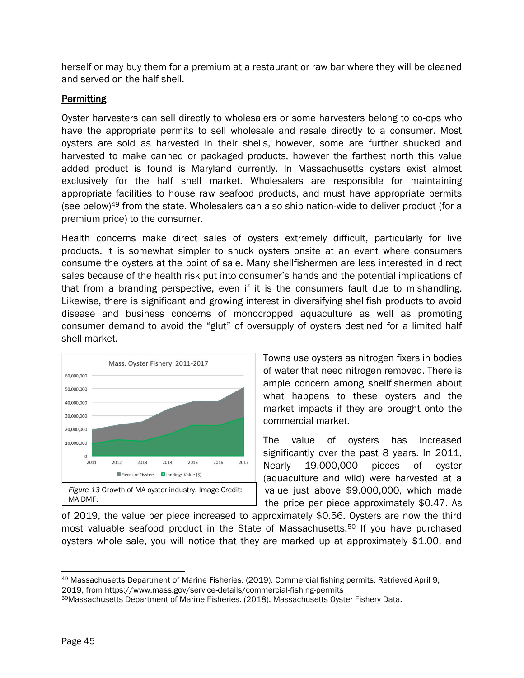herself or may buy them for a premium at a restaurant or raw bar where they will be cleaned and served on the half shell.

## **Permitting**

Oyster harvesters can sell directly to wholesalers or some harvesters belong to co-ops who have the appropriate permits to sell wholesale and resale directly to a consumer. Most oysters are sold as harvested in their shells, however, some are further shucked and harvested to make canned or packaged products, however the farthest north this value added product is found is Maryland currently. In Massachusetts oysters exist almost exclusively for the half shell market. Wholesalers are responsible for maintaining appropriate facilities to house raw seafood products, and must have appropriate permits (see below)<sup>49</sup> from the state. Wholesalers can also ship nation-wide to deliver product (for a premium price) to the consumer.

Health concerns make direct sales of oysters extremely difficult, particularly for live products. It is somewhat simpler to shuck oysters onsite at an event where consumers consume the oysters at the point of sale. Many shellfishermen are less interested in direct sales because of the health risk put into consumer's hands and the potential implications of that from a branding perspective, even if it is the consumers fault due to mishandling. Likewise, there is significant and growing interest in diversifying shellfish products to avoid disease and business concerns of monocropped aquaculture as well as promoting consumer demand to avoid the "glut" of oversupply of oysters destined for a limited half shell market.



Towns use oysters as nitrogen fixers in bodies of water that need nitrogen removed. There is ample concern among shellfishermen about what happens to these oysters and the market impacts if they are brought onto the commercial market.

The value of oysters has increased significantly over the past 8 years. In 2011, Nearly 19,000,000 pieces of oyster (aquaculture and wild) were harvested at a value just above \$9,000,000, which made the price per piece approximately \$0.47. As

of 2019, the value per piece increased to approximately \$0.56. Oysters are now the third most valuable seafood product in the State of Massachusetts.<sup>50</sup> If you have purchased oysters whole sale, you will notice that they are marked up at approximately \$1.00, and

 $\overline{a}$ <sup>49</sup> Massachusetts Department of Marine Fisheries. (2019). Commercial fishing permits. Retrieved April 9,

<sup>2019,</sup> from https://www.mass.gov/service-details/commercial-fishing-permits

<sup>50</sup>Massachusetts Department of Marine Fisheries. (2018). Massachusetts Oyster Fishery Data.